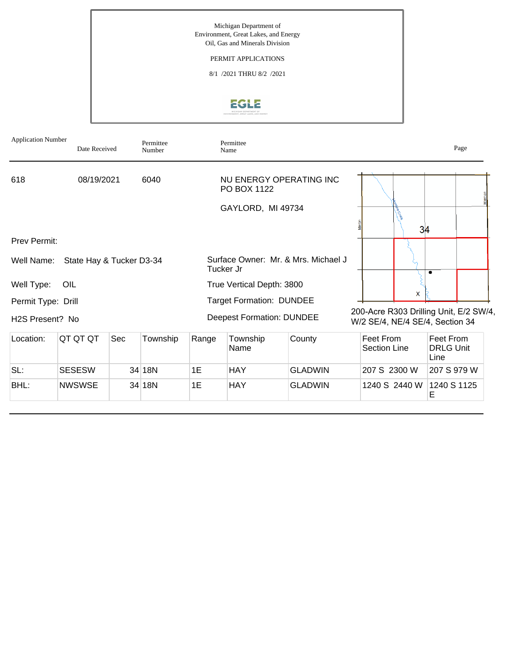Michigan Department of Environment, Great Lakes, and Energy Oil, Gas and Minerals Division PERMIT APPLICATIONS 8/1 /2021 THRU 8/2 /2021

| <b>Application Number</b>              | Date Received |     | Permittee<br>Number |       | Permittee<br>Name                |                                     |                                                                           | Page                                  |
|----------------------------------------|---------------|-----|---------------------|-------|----------------------------------|-------------------------------------|---------------------------------------------------------------------------|---------------------------------------|
| 618                                    | 08/19/2021    |     | 6040                |       | PO BOX 1122                      | NU ENERGY OPERATING INC             |                                                                           |                                       |
|                                        |               |     |                     |       | GAYLORD, MI 49734                |                                     | 34                                                                        |                                       |
| <b>Prev Permit:</b>                    |               |     |                     |       |                                  |                                     |                                                                           |                                       |
| State Hay & Tucker D3-34<br>Well Name: |               |     |                     |       | Tucker Jr                        | Surface Owner: Mr. & Mrs. Michael J |                                                                           |                                       |
| Well Type:                             | OIL           |     |                     |       | True Vertical Depth: 3800        |                                     |                                                                           |                                       |
| Permit Type: Drill                     |               |     |                     |       | <b>Target Formation: DUNDEE</b>  |                                     | X                                                                         |                                       |
| H <sub>2</sub> S Present? No           |               |     |                     |       | <b>Deepest Formation: DUNDEE</b> |                                     | 200-Acre R303 Drilling Unit, E/2 SW/4,<br>W/2 SE/4, NE/4 SE/4, Section 34 |                                       |
| Location:                              | QT QT QT      | Sec | Township            | Range | Township<br>Name                 | County                              | Feet From<br>Section Line                                                 | Feet From<br><b>DRLG Unit</b><br>Line |
| SL:                                    | <b>SESESW</b> |     | 34 18N              | 1E    | HAY                              | <b>GLADWIN</b>                      | 207 S 2300 W                                                              | 207 S 979 W                           |
| BHL:                                   | <b>NWSWSE</b> |     | 34 18N              | 1E    | <b>HAY</b>                       | <b>GLADWIN</b>                      | 1240 S 2440 W                                                             | 1240 S 1125<br>Е                      |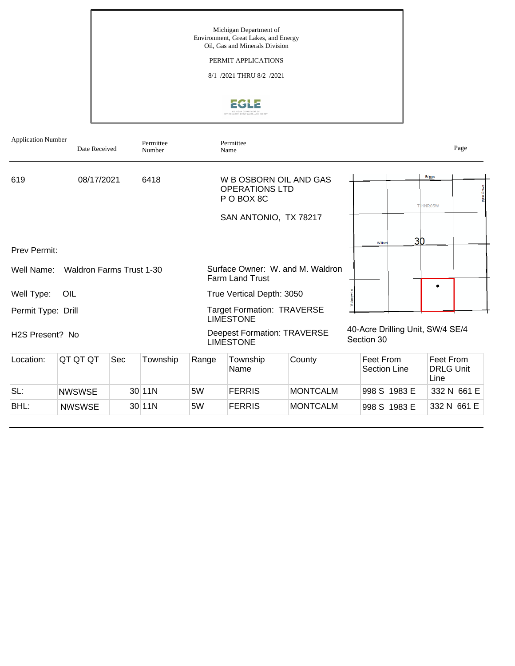Michigan Department of Environment, Great Lakes, and Energy Oil, Gas and Minerals Division PERMIT APPLICATIONS 8/1 /2021 THRU 8/2 /2021



| <b>Application Number</b>                     | Date Received |     | Permittee<br>Number | Permittee<br>Name                                     |                                                            |                 |  |                           |                                  | Page                                  |             |  |
|-----------------------------------------------|---------------|-----|---------------------|-------------------------------------------------------|------------------------------------------------------------|-----------------|--|---------------------------|----------------------------------|---------------------------------------|-------------|--|
| 619                                           | 08/17/2021    |     | 6418                |                                                       | W B OSBORN OIL AND GAS                                     |                 |  |                           |                                  | <b>Briggs</b>                         |             |  |
|                                               |               |     |                     |                                                       | <b>OPERATIONS LTD</b><br>P O BOX 8C                        |                 |  |                           |                                  | <b>T11NR05W</b>                       |             |  |
|                                               |               |     |                     |                                                       | SAN ANTONIO, TX 78217                                      |                 |  |                           |                                  |                                       |             |  |
|                                               |               |     |                     |                                                       |                                                            |                 |  | Willard                   | 30                               |                                       |             |  |
| <b>Prev Permit:</b>                           |               |     |                     |                                                       |                                                            |                 |  |                           |                                  |                                       |             |  |
| <b>Waldron Farms Trust 1-30</b><br>Well Name: |               |     |                     |                                                       | Surface Owner: W. and M. Waldron<br><b>Farm Land Trust</b> |                 |  |                           |                                  |                                       |             |  |
| Well Type:                                    | OIL           |     |                     | True Vertical Depth: 3050                             |                                                            |                 |  |                           |                                  |                                       |             |  |
| Permit Type: Drill                            |               |     |                     | <b>Target Formation: TRAVERSE</b><br><b>LIMESTONE</b> |                                                            |                 |  |                           |                                  |                                       |             |  |
| H <sub>2</sub> S Present? No                  |               |     |                     |                                                       | <b>Deepest Formation: TRAVERSE</b><br><b>LIMESTONE</b>     |                 |  | Section 30                | 40-Acre Drilling Unit, SW/4 SE/4 |                                       |             |  |
| Location:                                     | QT QT QT      | Sec | Township            | Range                                                 | Township<br>Name                                           | County          |  | Feet From<br>Section Line |                                  | Feet From<br><b>DRLG Unit</b><br>Line |             |  |
| SL:                                           | <b>NWSWSE</b> |     | 30 11N              | 5W                                                    | <b>FERRIS</b>                                              | <b>MONTCALM</b> |  |                           | 998 S 1983 E                     |                                       | 332 N 661 E |  |
| BHL:                                          | <b>NWSWSE</b> |     | 30 11N              | 5W                                                    | <b>FERRIS</b>                                              | <b>MONTCALM</b> |  |                           | 998 S 1983 E                     |                                       | 332 N 661 E |  |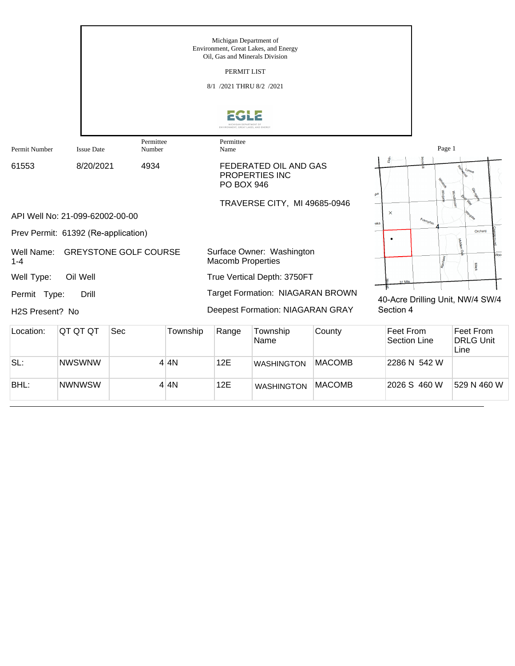

WASHINGTON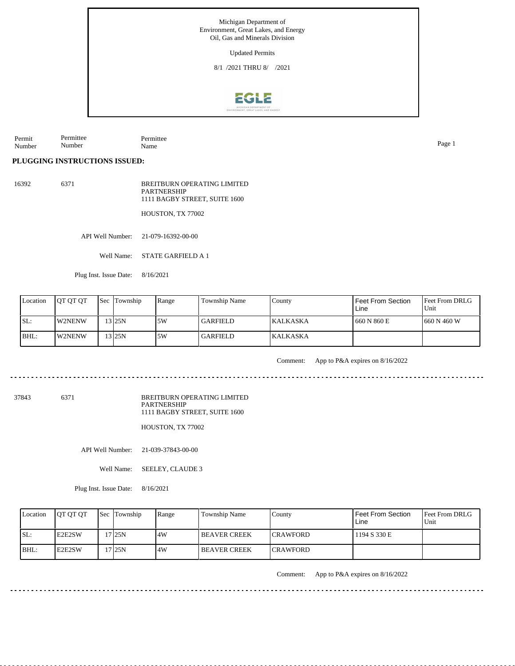Michigan Department of Environment, Great Lakes, and Energy Oil, Gas and Minerals Division Updated Permits 8/1 /2021 THRU 8/ /2021 **EGLE** 

Permit Number Permittee Number Permittee Name Page 1

#### **PLUGGING INSTRUCTIONS ISSUED:**

16392 6371 BREITBURN OPERATING LIMITED PARTNERSHIP 1111 BAGBY STREET, SUITE 1600

HOUSTON, TX 77002

API Well Number: 21-079-16392-00-00

Well Name: STATE GARFIELD A 1

Plug Inst. Issue Date: 8/16/2021

| Location | <b>IOT OT OT</b> | <b>Sec Township</b> | Range | Township Name   | County           | I Feet From Section<br>Line | <b>Feet From DRLG</b><br>Unit |
|----------|------------------|---------------------|-------|-----------------|------------------|-----------------------------|-------------------------------|
| ISL:     | <b>W2NENW</b>    | 13125N              | .5W   | <b>GARFIELD</b> | <b>IKALKASKA</b> | 660 N 860 E                 | 1660 N 460 W                  |
| BHL:     | W2NENW           | 13125N              | 5W    | <b>GARFIELD</b> | <b>KALKASKA</b>  |                             |                               |

Comment: App to P&A expires on 8/16/2022

37843 6371

BREITBURN OPERATING LIMITED PARTNERSHIP 1111 BAGBY STREET, SUITE 1600

HOUSTON, TX 77002

API Well Number: 21-039-37843-00-00

Well Name: SEELEY, CLAUDE 3

Plug Inst. Issue Date: 8/16/2021

| Location | <b>OT OT OT</b> | <b>Sec</b> Township | Range | Township Name       | County           | <b>Feet From Section</b><br>Line | Feet From DRLG<br>Unit |
|----------|-----------------|---------------------|-------|---------------------|------------------|----------------------------------|------------------------|
| ISL:     | <b>IE2E2SW</b>  | 7 I 25 N            | .4W   | <b>BEAVER CREEK</b> | <b>ICRAWFORD</b> | 1194 S 330 E                     |                        |
| $IBHL$ : | E2E2SW          | 7 I 25 N            | 4W    | <b>BEAVER CREEK</b> | <b>ICRAWFORD</b> |                                  |                        |

Comment: App to P&A expires on 8/16/2022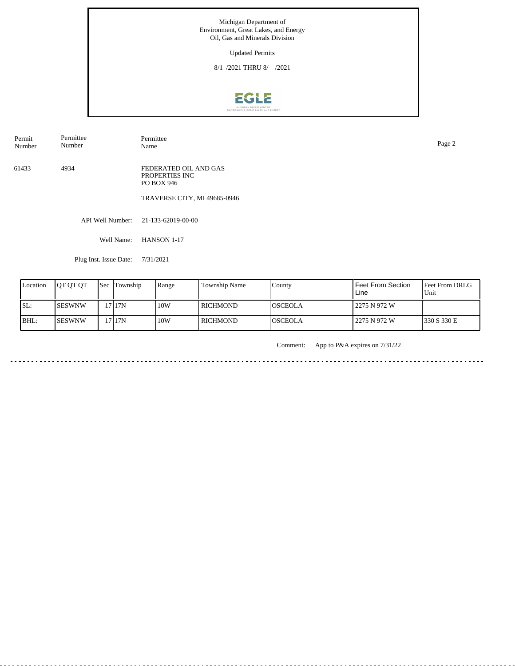Updated Permits

8/1 /2021 THRU 8/ /2021



API Well Number: 21-133-62019-00-00 Well Name: HANSON 1-17 61433 4934 FEDERATED OIL AND GAS PROPERTIES INC PO BOX 946 TRAVERSE CITY, MI 49685-0946 Permit Number Permittee Number Permittee Name Page 2

Plug Inst. Issue Date: 7/31/2021

| Location | <b>OT OT OT</b> | <b>Sec Township</b> | Range | Township Name | County          | <b>Feet From Section</b><br>Line | <b>IFeet From DRLG</b><br>Unit |
|----------|-----------------|---------------------|-------|---------------|-----------------|----------------------------------|--------------------------------|
| ISL:     | ISESWNW         | 17 17 N             | 10W   | l RICHMOND    | IOSCEOLA        | 2275 N 972 W                     |                                |
| BHL:     | <b>ISESWNW</b>  | 1717N               | 10W   | l richmond    | <b>IOSCEOLA</b> | l 2275 N 972 W                   | 330 S 330 E                    |

Comment: App to P&A expires on 7/31/22

<u>. . . . . . . . .</u>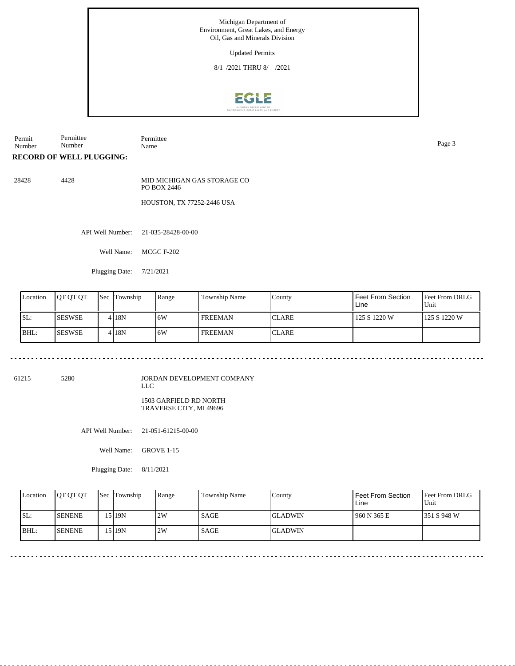Updated Permits

8/1 /2021 THRU 8/ /2021



Permit Number Permittee Number Permittee Name Page 3

**RECORD OF WELL PLUGGING:**

28428 4428 MID MICHIGAN GAS STORAGE CO PO BOX 2446

HOUSTON, TX 77252-2446 USA

API Well Number: 21-035-28428-00-00

Well Name: MCGC F-202

Plugging Date: 7/21/2021

| Location | <b>IOT OT OT</b> | <b>Sec Township</b> | Range | <b>Township Name</b> | County        | Feet From Section<br>Line | Feet From DRLG<br>Unit |
|----------|------------------|---------------------|-------|----------------------|---------------|---------------------------|------------------------|
| SL:      | <b>ISESWSE</b>   | 4 <sub>18</sub> N   | 16W   | <b>FREEMAN</b>       | ICLARE        | 125 S 1220 W              | 125 S 1220 W           |
| BHL:     | <b>ISESWSE</b>   | 4 <sub>18</sub> N   | 16W   | <b>FREEMAN</b>       | <b>ICLARE</b> |                           |                        |

61215 5280

JORDAN DEVELOPMENT COMPANY LLC

1503 GARFIELD RD NORTH TRAVERSE CITY, MI 49696

API Well Number: 21-051-61215-00-00

Well Name: GROVE 1-15

Plugging Date: 8/11/2021

| Location | <b>IOT OT OT</b> | Sec Township | Range | <b>Township Name</b> | County         | <b>Feet From Section</b><br>Line | <b>Feet From DRLG</b><br>Unit |
|----------|------------------|--------------|-------|----------------------|----------------|----------------------------------|-------------------------------|
| SL:      | <b>ISENENE</b>   | 15 I 19N     | 2W    | <b>SAGE</b>          | <b>GLADWIN</b> | 1960 N 365 E                     | 1351 S 948 W                  |
| BHL:     | <b>ISENENE</b>   | 15 I 19N     | 2W    | SAGE                 | <b>GLADWIN</b> |                                  |                               |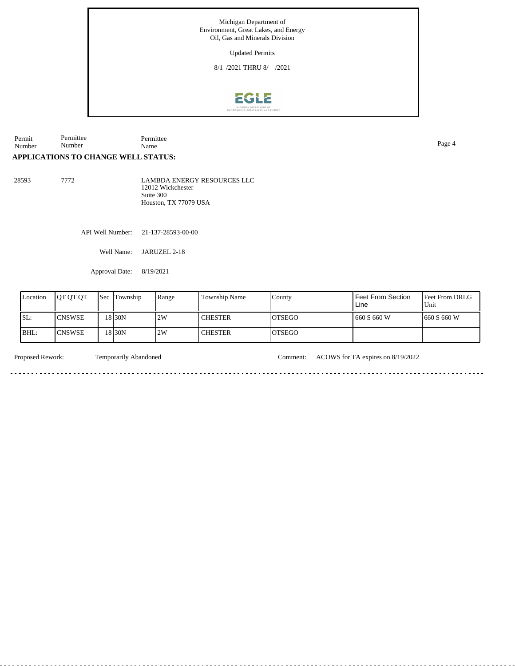Updated Permits

8/1 /2021 THRU 8/ /2021



Permit Number Permittee Number Permittee Name Page 4

#### **APPLICATIONS TO CHANGE WELL STATUS:**

28593 7772 LAMBDA ENERGY RESOURCES LLC 12012 Wickchester Suite 300 Houston, TX 77079 USA

API Well Number: 21-137-28593-00-00

Well Name: JARUZEL 2-18

Approval Date: 8/19/2021

| Location | <b>IOT OT OT</b> | <b>Sec</b> Township | Range | <b>Township Name</b> | County         | I Feet From Section<br>Line | Feet From DRLG<br>Unit |
|----------|------------------|---------------------|-------|----------------------|----------------|-----------------------------|------------------------|
| ISL:     | <b>CNSWSE</b>    | 18 I 30 N           | 2W    | <b>CHESTER</b>       | <b>IOTSEGO</b> | 660 S 660 W                 | 1660 S 660 W           |
| IBHL:    | <b>ICNSWSE</b>   | 18 I 30 N           | 2W    | <b>CHESTER</b>       | <b>IOTSEGO</b> |                             |                        |

 $1.1.1.1.1.1$ 

<u>. . . . . . . . . .</u>

Proposed Rework: Temporarily Abandoned Comment: ACOWS for TA expires on 8/19/2022

....................................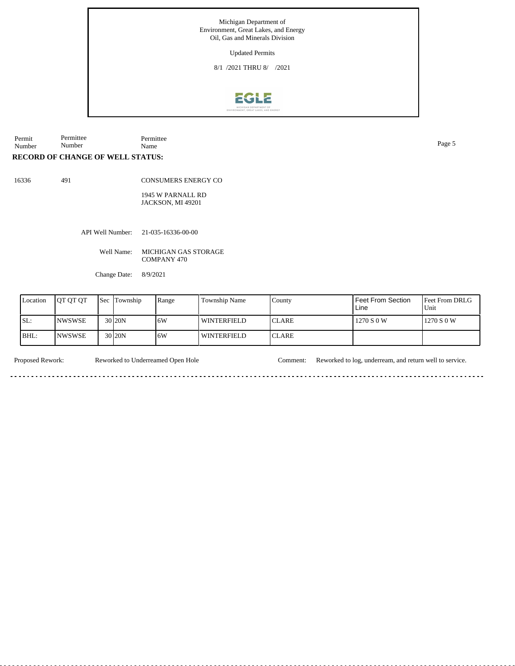Updated Permits

8/1 /2021 THRU 8/ /2021



Permit Number Permittee Number Permittee Name Page 5

#### **RECORD OF CHANGE OF WELL STATUS:**

<u>. . . . . . .</u>

16336 491

CONSUMERS ENERGY CO

1945 W PARNALL RD JACKSON, MI 49201

API Well Number: 21-035-16336-00-00

Well Name: MICHIGAN GAS STORAGE COMPANY 470

Change Date: 8/9/2021

| Location | <b>IOT OT OT</b> | Sec | Township          | Range | <b>Township Name</b> | County        | l Feet From Section<br>Line | <b>Feet From DRLG</b><br>Unit |
|----------|------------------|-----|-------------------|-------|----------------------|---------------|-----------------------------|-------------------------------|
| SL:      | <b>INWSWSE</b>   |     | 30 20N            | 16W   | <b>WINTERFIELD</b>   | <b>ICLARE</b> | 1270 S 0 W                  | 1270 S 0 W                    |
| BHL:     | INWSWSE          |     | 30 <sub>20N</sub> | 16W   | <b>WINTERFIELD</b>   | <b>ICLARE</b> |                             |                               |

<u>. . . . . . . . . . . . . . . .</u>

Proposed Rework: Reworked to Underreamed Open Hole Comment: Reworked to log, underream, and return well to service.  $\overline{a}$ .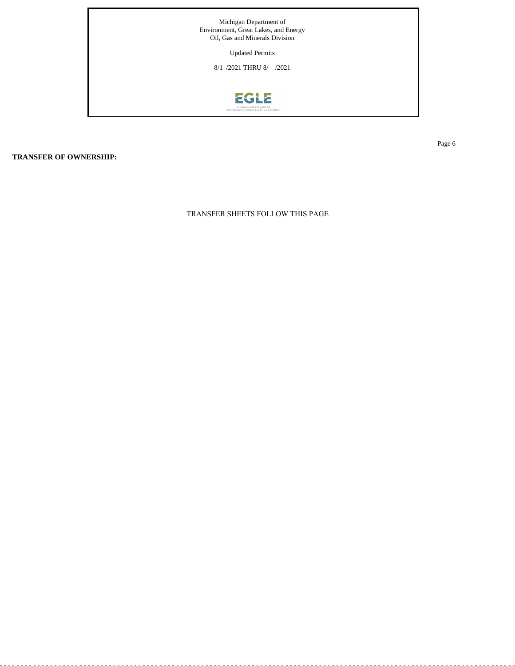

**TRANSFER OF OWNERSHIP:**

TRANSFER SHEETS FOLLOW THIS PAGE

Page 6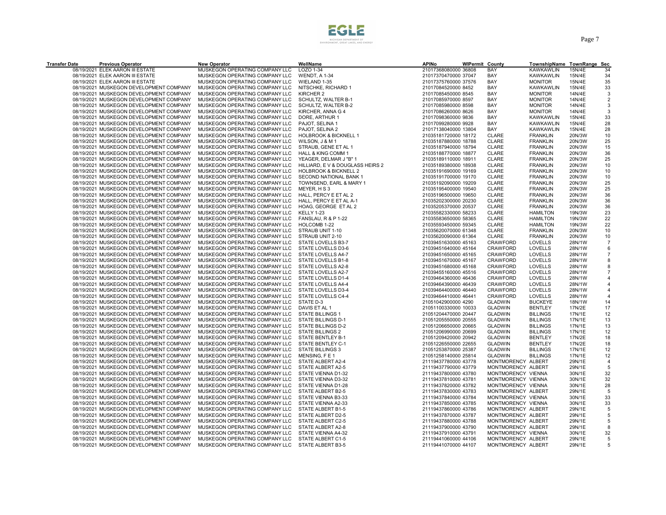| <b>Transfer Date</b> | <b>Previous Operator</b>                | <b>New Operator</b>            | WellName                         | <b>APINO</b>         | WIPermit | County             | TownshipName TownRange Sec |        |                |
|----------------------|-----------------------------------------|--------------------------------|----------------------------------|----------------------|----------|--------------------|----------------------------|--------|----------------|
|                      | 08/19/2021 ELEK AARON III ESTATE        | MUSKEGON OPERATING COMPANY LLC | LOZO 1-34                        | 21017368080000 36808 |          | BAY                | <b>KAWKAWLIN</b>           | 15N/4E | 34             |
|                      | 08/19/2021 ELEK AARON III ESTATE        | MUSKEGON OPERATING COMPANY LLC | <b>WENDT, A 1-34</b>             | 21017370470000 37047 |          | BAY                | <b>KAWKAWLIN</b>           | 15N/4E | 34             |
|                      | 08/19/2021 ELEK AARON III ESTATE        | MUSKEGON OPERATING COMPANY LLC | WIELAND 1-35                     | 21017375760000 37576 |          | BAY                | <b>MONITOR</b>             | 15N/4E | 35             |
|                      | 08/19/2021 MUSKEGON DEVELOPMENT COMPANY | MUSKEGON OPERATING COMPANY LLC | NITSCHKE, RICHARD 1              | 21017084520000 8452  |          | BAY                | <b>KAWKAWLIN</b>           | 15N/4E | 33             |
|                      | 08/19/2021 MUSKEGON DEVELOPMENT COMPANY | MUSKEGON OPERATING COMPANY LLC | KIRCHER 2                        | 21017085450000 8545  |          | <b>BAY</b>         | <b>MONITOR</b>             | 14N/4E | 3              |
|                      | 08/19/2021 MUSKEGON DEVELOPMENT COMPANY | MUSKEGON OPERATING COMPANY LLC | SCHULTZ, WALTER B-1              | 21017085970000 8597  |          | BAY                | <b>MONITOR</b>             | 14N/4E | 2              |
|                      | 08/19/2021 MUSKEGON DEVELOPMENT COMPANY | MUSKEGON OPERATING COMPANY LLC | SCHULTZ, WALTER B-2              | 21017085980000 8598  |          | BAY                | <b>MONITOR</b>             | 14N/4E | 3              |
|                      | 08/19/2021 MUSKEGON DEVELOPMENT COMPANY | MUSKEGON OPERATING COMPANY LLC | KIRCHER, ANNA G 4                | 21017086260000 8626  |          | BAY                | <b>MONITOR</b>             | 14N/4E | 3              |
|                      | 08/19/2021 MUSKEGON DEVELOPMENT COMPANY | MUSKEGON OPERATING COMPANY LLC | DORE, ARTHUR 1                   | 21017098360000 9836  |          | BAY                | <b>KAWKAWLIN</b>           | 15N/4E | 33             |
|                      | 08/19/2021 MUSKEGON DEVELOPMENT COMPANY | MUSKEGON OPERATING COMPANY LLC | PAJOT, SELINA 1                  | 21017099280000 9928  |          | BAY                | <b>KAWKAWLIN</b>           | 15N/4E | 28             |
|                      | 08/19/2021 MUSKEGON DEVELOPMENT COMPANY | MUSKEGON OPERATING COMPANY LLC | PAJOT, SELINA 2                  | 21017138040000 13804 |          | BAY                | <b>KAWKAWLIN</b>           | 15N/4E | 28             |
|                      | 08/19/2021 MUSKEGON DEVELOPMENT COMPANY | MUSKEGON OPERATING COMPANY LLC | HOLBROOK & BICKNELL 1            | 21035181720000 18172 |          | <b>CLARE</b>       | <b>FRANKLIN</b>            | 20N/3W | 10             |
|                      | 08/19/2021 MUSKEGON DEVELOPMENT COMPANY | MUSKEGON OPERATING COMPANY LLC | WILSON, J & M 1                  | 21035187880000 18788 |          | <b>CLARE</b>       | <b>FRANKLIN</b>            | 20N/3W | 25             |
|                      | 08/19/2021 MUSKEGON DEVELOPMENT COMPANY | MUSKEGON OPERATING COMPANY LLC | STRAUB, GENE ET AL 1             | 21035187940000 18794 |          | <b>CLARE</b>       | <b>FRANKLIN</b>            | 20N/3W | 15             |
|                      | 08/19/2021 MUSKEGON DEVELOPMENT COMPANY | MUSKEGON OPERATING COMPANY LLC | HALL & KING COMM 1               | 21035188770000 18877 |          | <b>CLARE</b>       | <b>FRANKLIN</b>            | 20N/3W | 36             |
|                      | 08/19/2021 MUSKEGON DEVELOPMENT COMPANY | MUSKEGON OPERATING COMPANY LLC | YEAGER, DELMAR J "B" 1           | 21035189110000 18911 |          | <b>CLARE</b>       | <b>FRANKLIN</b>            | 20N/3W | 25             |
|                      | 08/19/2021 MUSKEGON DEVELOPMENT COMPANY | MUSKEGON OPERATING COMPANY LLC | HILLIARD, E V & DOUGLASS HEIRS 2 | 21035189380000 18938 |          | <b>CLARE</b>       | <b>FRANKLIN</b>            | 20N/3W | 10             |
|                      | 08/19/2021 MUSKEGON DEVELOPMENT COMPANY | MUSKEGON OPERATING COMPANY LLC | <b>HOLBROOK &amp; BICKNELL 2</b> | 21035191690000 19169 |          | <b>CLARE</b>       | <b>FRANKLIN</b>            | 20N/3W | 10             |
|                      | 08/19/2021 MUSKEGON DEVELOPMENT COMPANY | MUSKEGON OPERATING COMPANY LLC | <b>SECOND NATIONAL BANK 1</b>    | 21035191700000 19170 |          | <b>CLARE</b>       | <b>FRANKLIN</b>            | 20N/3W | 10             |
|                      | 08/19/2021 MUSKEGON DEVELOPMENT COMPANY | MUSKEGON OPERATING COMPANY LLC | TOWNSEND, EARL & MARY 1          | 21035192090000 19209 |          | <b>CLARE</b>       | <b>FRANKLIN</b>            | 20N/3W | 25             |
|                      | 08/19/2021 MUSKEGON DEVELOPMENT COMPANY | MUSKEGON OPERATING COMPANY LLC | MEYER, H S 3                     | 21035195400000 19540 |          | <b>CLARE</b>       | <b>FRANKLIN</b>            | 20N/3W | 25             |
|                      | 08/19/2021 MUSKEGON DEVELOPMENT COMPANY | MUSKEGON OPERATING COMPANY LLC | HALL, PERCY E ET AL 2            | 21035196500000 19650 |          | <b>CLARE</b>       | <b>FRANKLIN</b>            | 20N/3W | 36             |
|                      | 08/19/2021 MUSKEGON DEVELOPMENT COMPANY | MUSKEGON OPERATING COMPANY LLC | HALL, PERCY E ET AL A-1          | 21035202300000 20230 |          | <b>CLARE</b>       | <b>FRANKLIN</b>            | 20N/3W | 36             |
|                      | 08/19/2021 MUSKEGON DEVELOPMENT COMPANY | MUSKEGON OPERATING COMPANY LLC | HOAG, GEORGE ET AL 2             | 21035205370000 20537 |          | <b>CLARE</b>       | <b>FRANKLIN</b>            | 20N/3W | 36             |
|                      | 08/19/2021 MUSKEGON DEVELOPMENT COMPANY | MUSKEGON OPERATING COMPANY LLC | <b>KELLY 1-23</b>                | 21035582330000 58233 |          | <b>CLARE</b>       | <b>HAMILTON</b>            | 19N/3W | 23             |
|                      | 08/19/2021 MUSKEGON DEVELOPMENT COMPANY | MUSKEGON OPERATING COMPANY LLC | <b>FANSLAU, R &amp; P 1-22</b>   | 21035583650000 58365 |          | <b>CLARE</b>       | <b>HAMILTON</b>            | 19N/3W | 22             |
|                      | 08/19/2021 MUSKEGON DEVELOPMENT COMPANY | MUSKEGON OPERATING COMPANY LLC | HOLCOMB 1-22                     | 21035593450000 59345 |          | <b>CLARE</b>       | <b>HAMILTON</b>            | 19N/3W | 22             |
|                      | 08/19/2021 MUSKEGON DEVELOPMENT COMPANY | MUSKEGON OPERATING COMPANY LLC | STRAUB UNIT 1-10                 | 21035620070000 61348 |          | <b>CLARE</b>       | <b>FRANKLIN</b>            | 20N/3W | 10             |
|                      | 08/19/2021 MUSKEGON DEVELOPMENT COMPANY | MUSKEGON OPERATING COMPANY LLC | STRAUB UNIT 2-10                 | 21035620090000 61364 |          | <b>CLARE</b>       | <b>FRANKLIN</b>            | 20N/3W | 10             |
|                      | 08/19/2021 MUSKEGON DEVELOPMENT COMPANY | MUSKEGON OPERATING COMPANY LLC | STATE LOVELLS B3-7               | 21039451630000 45163 |          | CRAWFORD           | <b>LOVELLS</b>             | 28N/1W | $\overline{7}$ |
|                      | 08/19/2021 MUSKEGON DEVELOPMENT COMPANY | MUSKEGON OPERATING COMPANY LLC | STATE LOVELLS D3-6               | 21039451640000 45164 |          | CRAWFORD           | <b>LOVELLS</b>             | 28N/1W | 6              |
|                      | 08/19/2021 MUSKEGON DEVELOPMENT COMPANY | MUSKEGON OPERATING COMPANY LLC | STATE LOVELLS A4-7               | 21039451650000 45165 |          | CRAWFORD           | <b>LOVELLS</b>             | 28N/1W | $\overline{7}$ |
|                      | 08/19/2021 MUSKEGON DEVELOPMENT COMPANY | MUSKEGON OPERATING COMPANY LLC | STATE LOVELLS B1-8               | 21039451670000 45167 |          | CRAWFORD           | LOVELLS                    | 28N/1W | 8              |
|                      | 08/19/2021 MUSKEGON DEVELOPMENT COMPANY | MUSKEGON OPERATING COMPANY LLC | STATE LOVELLS A2-8               | 21039451680000 45168 |          | CRAWFORD           | <b>LOVELLS</b>             | 28N/1W | 8              |
|                      | 08/19/2021 MUSKEGON DEVELOPMENT COMPANY | MUSKEGON OPERATING COMPANY LLC | STATE LOVELLS A2-7               | 21039455160000 45516 |          | CRAWFORD           | <b>LOVELLS</b>             | 28N/1W | $\overline{7}$ |
|                      | 08/19/2021 MUSKEGON DEVELOPMENT COMPANY | MUSKEGON OPERATING COMPANY LLC | STATE LOVELLS D1-4               | 21039464360000 46436 |          | CRAWFORD           | <b>LOVELLS</b>             | 28N/1W | 4              |
|                      | 08/19/2021 MUSKEGON DEVELOPMENT COMPANY | MUSKEGON OPERATING COMPANY LLC | STATE LOVELLS A4-4               | 21039464390000 46439 |          | CRAWFORD           | LOVELLS                    | 28N/1W | 4              |
|                      | 08/19/2021 MUSKEGON DEVELOPMENT COMPANY | MUSKEGON OPERATING COMPANY LLC | STATE LOVELLS D3-4               | 21039464400000 46440 |          | <b>CRAWFORD</b>    | <b>LOVELLS</b>             | 28N/1W | $\overline{4}$ |
|                      | 08/19/2021 MUSKEGON DEVELOPMENT COMPANY | MUSKEGON OPERATING COMPANY LLC | STATE LOVELLS C4-4               | 21039464410000 46441 |          | CRAWFORD           | <b>LOVELLS</b>             | 28N/1W | $\overline{4}$ |
|                      | 08/19/2021 MUSKEGON DEVELOPMENT COMPANY | MUSKEGON OPERATING COMPANY LLC | STATE D-3                        | 21051042900000 4290  |          | <b>GLADWIN</b>     | <b>BUCKEYE</b>             | 18N/1W | 14             |
|                      | 08/19/2021 MUSKEGON DEVELOPMENT COMPANY | MUSKEGON OPERATING COMPANY LLC | DAVIS ET AL 1                    | 21051100330000 10033 |          | <b>GLADWIN</b>     | <b>BENTLEY</b>             | 17N/2E | 17             |
|                      | 08/19/2021 MUSKEGON DEVELOPMENT COMPANY | MUSKEGON OPERATING COMPANY LLC | <b>STATE BILLINGS 1</b>          | 21051204470000 20447 |          | <b>GLADWIN</b>     | <b>BILLINGS</b>            | 17N/1E | 12             |
|                      | 08/19/2021 MUSKEGON DEVELOPMENT COMPANY | MUSKEGON OPERATING COMPANY LLC | <b>STATE BILLINGS D-1</b>        | 21051205550000 20555 |          | <b>GLADWIN</b>     | <b>BILLINGS</b>            | 17N/1E | 13             |
|                      | 08/19/2021 MUSKEGON DEVELOPMENT COMPANY | MUSKEGON OPERATING COMPANY LLC | STATE BILLINGS D-2               | 21051206650000 20665 |          | <b>GLADWIN</b>     | <b>BILLINGS</b>            | 17N/1E | 13             |
|                      | 08/19/2021 MUSKEGON DEVELOPMENT COMPANY | MUSKEGON OPERATING COMPANY LLC | <b>STATE BILLINGS 2</b>          | 21051206990000 20699 |          | <b>GLADWIN</b>     | <b>BILLINGS</b>            | 17N/1E | 12             |
|                      | 08/19/2021 MUSKEGON DEVELOPMENT COMPANY | MUSKEGON OPERATING COMPANY LLC | STATE BENTLEY B-1                | 21051209420000 20942 |          | <b>GLADWIN</b>     | <b>BENTLEY</b>             | 17N/2E | 18             |
|                      | 08/19/2021 MUSKEGON DEVELOPMENT COMPANY | MUSKEGON OPERATING COMPANY LLC | <b>STATE BENTLEY C-1</b>         | 21051226550000 22655 |          | <b>GLADWIN</b>     | <b>BENTLEY</b>             | 17N/2E | 18             |
|                      | 08/19/2021 MUSKEGON DEVELOPMENT COMPANY | MUSKEGON OPERATING COMPANY LLC | <b>STATE BILLINGS 3</b>          | 21051253870000 25387 |          | <b>GLADWIN</b>     | <b>BILLINGS</b>            | 17N/1E | 12             |
|                      | 08/19/2021 MUSKEGON DEVELOPMENT COMPANY | MUSKEGON OPERATING COMPANY LLC | MENSING, FE1                     | 21051258140000 25814 |          | <b>GLADWIN</b>     | <b>BILLINGS</b>            | 17N/1E | 12             |
|                      | 08/19/2021 MUSKEGON DEVELOPMENT COMPANY | MUSKEGON OPERATING COMPANY LLC | STATE ALBERT A2-4                | 21119437780000 43778 |          | MONTMORENCY ALBERT |                            | 29N/1E | 4              |
|                      | 08/19/2021 MUSKEGON DEVELOPMENT COMPANY | MUSKEGON OPERATING COMPANY LLC | STATE ALBERT A2-5                | 21119437790000 43779 |          | MONTMORENCY ALBERT |                            | 29N/1E | 5              |
|                      | 08/19/2021 MUSKEGON DEVELOPMENT COMPANY | MUSKEGON OPERATING COMPANY LLC | STATE VIENNA D1-32               | 21119437800000 43780 |          | MONTMORENCY VIENNA |                            | 30N/1E | 32             |
|                      | 08/19/2021 MUSKEGON DEVELOPMENT COMPANY | MUSKEGON OPERATING COMPANY LLC | STATE VIENNA D3-32               | 21119437810000 43781 |          | MONTMORENCY VIENNA |                            | 30N/1E | 32             |
|                      | 08/19/2021 MUSKEGON DEVELOPMENT COMPANY | MUSKEGON OPERATING COMPANY LLC | STATE VIENNA D1-28               | 21119437820000 43782 |          | MONTMORENCY VIENNA |                            | 30N/1E | 28             |
|                      | 08/19/2021 MUSKEGON DEVELOPMENT COMPANY | MUSKEGON OPERATING COMPANY LLC | STATE ALBERT B2-5                | 21119437830000 43783 |          | MONTMORENCY ALBERT |                            | 29N/1E | -5             |
|                      | 08/19/2021 MUSKEGON DEVELOPMENT COMPANY | MUSKEGON OPERATING COMPANY LLC | STATE VIENNA B3-33               | 21119437840000 43784 |          | MONTMORENCY VIENNA |                            | 30N/1E | 33             |
|                      | 08/19/2021 MUSKEGON DEVELOPMENT COMPANY | MUSKEGON OPERATING COMPANY LLC | STATE VIENNA A2-33               | 21119437850000 43785 |          | MONTMORENCY VIENNA |                            | 30N/1E | 33             |
|                      | 08/19/2021 MUSKEGON DEVELOPMENT COMPANY | MUSKEGON OPERATING COMPANY LLC | STATE ALBERT B1-5                | 21119437860000 43786 |          | MONTMORENCY ALBERT |                            | 29N/1E | 5              |
|                      | 08/19/2021 MUSKEGON DEVELOPMENT COMPANY | MUSKEGON OPERATING COMPANY LLC | STATE ALBERT D2-5                | 21119437870000 43787 |          | MONTMORENCY ALBERT |                            | 29N/1E | 5              |
|                      | 08/19/2021 MUSKEGON DEVELOPMENT COMPANY | MUSKEGON OPERATING COMPANY LLC | STATE ALBERT C2-5                | 21119437880000 43788 |          | MONTMORENCY ALBERT |                            | 29N/1E | $\sqrt{5}$     |
|                      | 08/19/2021 MUSKEGON DEVELOPMENT COMPANY | MUSKEGON OPERATING COMPANY LLC | STATE ALBERT A2-8                | 21119437900000 43790 |          | MONTMORENCY ALBERT |                            | 29N/1E | 8              |
|                      | 08/19/2021 MUSKEGON DEVELOPMENT COMPANY | MUSKEGON OPERATING COMPANY LLC | STATE VIENNA A4-32               | 21119437910000 43791 |          | MONTMORENCY VIENNA |                            | 30N/1E | 32             |
|                      | 08/19/2021 MUSKEGON DEVELOPMENT COMPANY | MUSKEGON OPERATING COMPANY LLC | STATE ALBERT C1-5                | 21119441060000 44106 |          | MONTMORENCY ALBERT |                            | 29N/1E | 5              |
|                      | 08/19/2021 MUSKEGON DEVELOPMENT COMPANY | MUSKEGON OPERATING COMPANY LLC | STATE ALBERT B3-5                | 21119441070000 44107 |          | MONTMORENCY ALBERT |                            | 29N/1E | 5              |
|                      |                                         |                                |                                  |                      |          |                    |                            |        |                |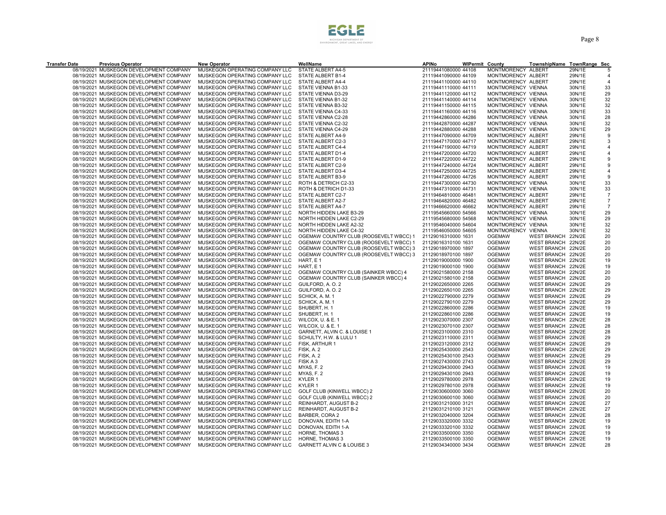| <b>Transfer Date</b> | <b>Previous Operator</b>                | <b>New Operator</b>            | WellName                               | <b>APINo</b>         | <b>WIPermit County</b> |                    | TownshipName TownRange Sec |        |                       |
|----------------------|-----------------------------------------|--------------------------------|----------------------------------------|----------------------|------------------------|--------------------|----------------------------|--------|-----------------------|
|                      | 08/19/2021 MUSKEGON DEVELOPMENT COMPANY | MUSKEGON OPERATING COMPANY LLC | STATE ALBERT A4-5                      | 21119441080000 44108 |                        | MONTMORENCY ALBERT |                            | 29N/1E | 5                     |
|                      | 08/19/2021 MUSKEGON DEVELOPMENT COMPANY | MUSKEGON OPERATING COMPANY LLC | STATE ALBERT B1-4                      | 21119441090000 44109 |                        | MONTMORENCY ALBERT |                            | 29N/1E | 4                     |
|                      | 08/19/2021 MUSKEGON DEVELOPMENT COMPANY | MUSKEGON OPERATING COMPANY LLC | STATE ALBERT A4-4                      | 21119441100000 44110 |                        | MONTMORENCY ALBERT |                            | 29N/1E | $\overline{4}$        |
|                      | 08/19/2021 MUSKEGON DEVELOPMENT COMPANY | MUSKEGON OPERATING COMPANY LLC | STATE VIENNA B1-33                     | 21119441110000 44111 |                        | MONTMORENCY VIENNA |                            | 30N/1E | 33                    |
|                      | 08/19/2021 MUSKEGON DEVELOPMENT COMPANY | MUSKEGON OPERATING COMPANY LLC | STATE VIENNA D3-29                     | 21119441120000 44112 |                        | MONTMORENCY VIENNA |                            | 30N/1E | 29                    |
|                      | 08/19/2021 MUSKEGON DEVELOPMENT COMPANY | MUSKEGON OPERATING COMPANY LLC | STATE VIENNA B1-32                     | 21119441140000 44114 |                        | MONTMORENCY VIENNA |                            | 30N/1E | 32                    |
|                      | 08/19/2021 MUSKEGON DEVELOPMENT COMPANY | MUSKEGON OPERATING COMPANY LLC | STATE VIENNA B3-32                     | 21119441150000 44115 |                        | MONTMORENCY VIENNA |                            | 30N/1E | 32                    |
|                      | 08/19/2021 MUSKEGON DEVELOPMENT COMPANY | MUSKEGON OPERATING COMPANY LLC | STATE VIENNA C4-33                     | 21119441160000 44116 |                        | MONTMORENCY VIENNA |                            | 30N/1E | 33                    |
|                      | 08/19/2021 MUSKEGON DEVELOPMENT COMPANY | MUSKEGON OPERATING COMPANY LLC | STATE VIENNA C2-28                     | 21119442860000 44286 |                        | MONTMORENCY VIENNA |                            | 30N/1E | 28                    |
|                      | 08/19/2021 MUSKEGON DEVELOPMENT COMPANY | MUSKEGON OPERATING COMPANY LLC | STATE VIENNA C2-32                     | 21119442870000 44287 |                        | MONTMORENCY VIENNA |                            | 30N/1E | 32                    |
|                      | 08/19/2021 MUSKEGON DEVELOPMENT COMPANY | MUSKEGON OPERATING COMPANY LLC | STATE VIENNA C4-29                     | 21119442880000 44288 |                        | MONTMORENCY VIENNA |                            | 30N/1E | 29                    |
|                      | 08/19/2021 MUSKEGON DEVELOPMENT COMPANY | MUSKEGON OPERATING COMPANY LLC | STATE ALBERT A4-9                      | 21119447090000 44709 |                        | MONTMORENCY ALBERT |                            | 29N/1E | $\mathbf{Q}$          |
|                      | 08/19/2021 MUSKEGON DEVELOPMENT COMPANY | MUSKEGON OPERATING COMPANY LLC | STATE ALBERT C2-3                      | 21119447170000 44717 |                        | MONTMORENCY ALBERT |                            | 29N/1E | 3                     |
|                      | 08/19/2021 MUSKEGON DEVELOPMENT COMPANY | MUSKEGON OPERATING COMPANY LLC | STATE ALBERT C4-4                      | 21119447190000 44719 |                        | MONTMORENCY ALBERT |                            | 29N/1E | $\boldsymbol{\Delta}$ |
|                      | 08/19/2021 MUSKEGON DEVELOPMENT COMPANY | MUSKEGON OPERATING COMPANY LLC | STATE ALBERT D1-4                      | 21119447200000 44720 |                        | MONTMORENCY ALBERT |                            | 29N/1E | 4                     |
|                      | 08/19/2021 MUSKEGON DEVELOPMENT COMPANY | MUSKEGON OPERATING COMPANY LLC | STATE ALBERT D1-9                      | 21119447220000 44722 |                        | MONTMORENCY ALBERT |                            | 29N/1E | $\mathbf{Q}$          |
|                      | 08/19/2021 MUSKEGON DEVELOPMENT COMPANY | MUSKEGON OPERATING COMPANY LLC | STATE ALBERT C2-9                      | 21119447240000 44724 |                        | MONTMORENCY ALBERT |                            | 29N/1E | 9                     |
|                      | 08/19/2021 MUSKEGON DEVELOPMENT COMPANY | MUSKEGON OPERATING COMPANY LLC | STATE ALBERT D3-4                      | 21119447250000 44725 |                        | MONTMORENCY ALBERT |                            | 29N/1E | $\overline{4}$        |
|                      | 08/19/2021 MUSKEGON DEVELOPMENT COMPANY | MUSKEGON OPERATING COMPANY LLC | STATE ALBERT B3-9                      | 21119447260000 44726 |                        | MONTMORENCY ALBERT |                            | 29N/1E | 9                     |
|                      | 08/19/2021 MUSKEGON DEVELOPMENT COMPANY | MUSKEGON OPERATING COMPANY LLC | ROTH & DETRICH C2-33                   | 21119447300000 44730 |                        | MONTMORENCY VIENNA |                            | 30N/1E | 33                    |
|                      | 08/19/2021 MUSKEGON DEVELOPMENT COMPANY | MUSKEGON OPERATING COMPANY LLC | ROTH & DETRICH D1-33                   | 21119447310000 44731 |                        | MONTMORENCY VIENNA |                            | 30N/1E | 33                    |
|                      | 08/19/2021 MUSKEGON DEVELOPMENT COMPANY | MUSKEGON OPERATING COMPANY LLC | STATE ALBERT C2-7                      | 21119464810000 46481 |                        | MONTMORENCY ALBERT |                            | 29N/1E | $\overline{7}$        |
|                      | 08/19/2021 MUSKEGON DEVELOPMENT COMPANY | MUSKEGON OPERATING COMPANY LLC | STATE ALBERT A2-7                      | 21119464820000 46482 |                        | MONTMORENCY ALBERT |                            | 29N/1E | $\overline{7}$        |
|                      | 08/19/2021 MUSKEGON DEVELOPMENT COMPANY | MUSKEGON OPERATING COMPANY LLC | STATE ALBERT A4-7                      | 21119466620000 46662 |                        | MONTMORENCY ALBERT |                            | 29N/1E | $\overline{7}$        |
|                      | 08/19/2021 MUSKEGON DEVELOPMENT COMPANY | MUSKEGON OPERATING COMPANY LLC | NORTH HIDDEN LAKE B3-29                | 21119545660000 54566 |                        | MONTMORENCY VIENNA |                            | 30N/1E | 29                    |
|                      | 08/19/2021 MUSKEGON DEVELOPMENT COMPANY | MUSKEGON OPERATING COMPANY LLC | NORTH HIDDEN LAKE C2-29                | 21119545680000 54568 |                        | MONTMORENCY VIENNA |                            | 30N/1E | 29                    |
|                      | 08/19/2021 MUSKEGON DEVELOPMENT COMPANY | MUSKEGON OPERATING COMPANY LLC | NORTH HIDDEN LAKE A2-32                | 21119546040000 54604 |                        | MONTMORENCY VIENNA |                            | 30N/1E | 32                    |
|                      | 08/19/2021 MUSKEGON DEVELOPMENT COMPANY | MUSKEGON OPERATING COMPANY LLC | NORTH HIDDEN LAKE C4-32                | 21119546050000 54605 |                        | MONTMORENCY VIENNA |                            | 30N/1E | 32                    |
|                      | 08/19/2021 MUSKEGON DEVELOPMENT COMPANY | MUSKEGON OPERATING COMPANY LLC | OGEMAW COUNTRY CLUB (ROOSEVELT WBCC) 1 | 21129016310000 1631  |                        | <b>OGEMAW</b>      | WEST BRANCH 22N/2E         |        | 20                    |
|                      | 08/19/2021 MUSKEGON DEVELOPMENT COMPANY | MUSKEGON OPERATING COMPANY LLC | OGEMAW COUNTRY CLUB (ROOSEVELT WBCC) 1 | 21129016310100 1631  |                        | <b>OGEMAW</b>      | WEST BRANCH 22N/2E         |        | 20                    |
|                      | 08/19/2021 MUSKEGON DEVELOPMENT COMPANY | MUSKEGON OPERATING COMPANY LLC | OGEMAW COUNTRY CLUB (ROOSEVELT WBCC) 3 | 21129018970000 1897  |                        | <b>OGEMAW</b>      | WEST BRANCH 22N/2E         |        | 20                    |
|                      | 08/19/2021 MUSKEGON DEVELOPMENT COMPANY | MUSKEGON OPERATING COMPANY LLC | OGEMAW COUNTRY CLUB (ROOSEVELT WBCC) 3 | 21129018970100 1897  |                        | <b>OGEMAW</b>      | WEST BRANCH 22N/2E         |        | 20                    |
|                      | 08/19/2021 MUSKEGON DEVELOPMENT COMPANY | MUSKEGON OPERATING COMPANY LLC | HART. E 1                              | 21129019000000 1900  |                        | <b>OGEMAW</b>      | WEST BRANCH 22N/2E         |        | 19                    |
|                      | 08/19/2021 MUSKEGON DEVELOPMENT COMPANY | MUSKEGON OPERATING COMPANY LLC | HART, E1                               | 21129019000100 1900  |                        | <b>OGEMAW</b>      | WEST BRANCH 22N/2E         |        | 19                    |
|                      | 08/19/2021 MUSKEGON DEVELOPMENT COMPANY | MUSKEGON OPERATING COMPANY LLC | OGEMAW COUNTRY CLUB (SAINKER WBCC) 4   | 21129021580000 2158  |                        | <b>OGEMAW</b>      | WEST BRANCH 22N/2E         |        | 20                    |
|                      | 08/19/2021 MUSKEGON DEVELOPMENT COMPANY | MUSKEGON OPERATING COMPANY LLC | OGEMAW COUNTRY CLUB (SAINKER WBCC) 4   | 21129021580100 2158  |                        | <b>OGEMAW</b>      | WEST BRANCH 22N/2E         |        | 20                    |
|                      | 08/19/2021 MUSKEGON DEVELOPMENT COMPANY | MUSKEGON OPERATING COMPANY LLC | GUILFORD, A.O.2                        | 21129022650000 2265  |                        | <b>OGEMAW</b>      | WEST BRANCH 22N/2E         |        | 29                    |
|                      | 08/19/2021 MUSKEGON DEVELOPMENT COMPANY | MUSKEGON OPERATING COMPANY LLC | GUILFORD, A. O. 2                      | 21129022650100 2265  |                        | <b>OGEMAW</b>      | WEST BRANCH 22N/2E         |        | 29                    |
|                      | 08/19/2021 MUSKEGON DEVELOPMENT COMPANY | MUSKEGON OPERATING COMPANY LLC | SCHICK, A. M. 1                        | 21129022790000 2279  |                        | <b>OGEMAW</b>      | WEST BRANCH 22N/2E         |        | 29                    |
|                      | 08/19/2021 MUSKEGON DEVELOPMENT COMPANY | MUSKEGON OPERATING COMPANY LLC | SCHICK, A. M. 1                        | 21129022790100 2279  |                        | <b>OGEMAW</b>      | WEST BRANCH 22N/2E         |        | 29                    |
|                      | 08/19/2021 MUSKEGON DEVELOPMENT COMPANY | MUSKEGON OPERATING COMPANY LLC | SHUBERT, H. 1                          | 21129022860000 2286  |                        | <b>OGEMAW</b>      | WEST BRANCH 22N/2E         |        | 19                    |
|                      | 08/19/2021 MUSKEGON DEVELOPMENT COMPANY | MUSKEGON OPERATING COMPANY LLC | SHUBERT, H. 1                          | 21129022860100 2286  |                        | <b>OGEMAW</b>      | WEST BRANCH 22N/2E         |        | 19                    |
|                      | 08/19/2021 MUSKEGON DEVELOPMENT COMPANY | MUSKEGON OPERATING COMPANY LLC | <b>WILCOX, U. &amp; E. 1</b>           | 21129023070000 2307  |                        | <b>OGEMAW</b>      | WEST BRANCH 22N/2E         |        | 28                    |
|                      | 08/19/2021 MUSKEGON DEVELOPMENT COMPANY | MUSKEGON OPERATING COMPANY LLC | <b>WILCOX, U. &amp; E. 1</b>           | 21129023070100 2307  |                        | <b>OGEMAW</b>      | WEST BRANCH 22N/2E         |        | 28                    |
|                      | 08/19/2021 MUSKEGON DEVELOPMENT COMPANY | MUSKEGON OPERATING COMPANY LLC | GARNETT, ALVIN C. & LOUISE 1           | 21129023100000 2310  |                        | <b>OGEMAW</b>      | WEST BRANCH 22N/2E         |        | 28                    |
|                      | 08/19/2021 MUSKEGON DEVELOPMENT COMPANY | MUSKEGON OPERATING COMPANY LLC | SCHULTY, H.W. & LULU 1                 | 21129023110000 2311  |                        | <b>OGEMAW</b>      | WEST BRANCH 22N/2E         |        | 29                    |
|                      | 08/19/2021 MUSKEGON DEVELOPMENT COMPANY | MUSKEGON OPERATING COMPANY LLC | FISK, ARTHUR 1                         | 21129023120000 2312  |                        | <b>OGEMAW</b>      | WEST BRANCH 22N/2E         |        | 29                    |
|                      | 08/19/2021 MUSKEGON DEVELOPMENT COMPANY | MUSKEGON OPERATING COMPANY LLC | <b>FISK, A. 2</b>                      | 21129025430000 2543  |                        | <b>OGEMAW</b>      | WEST BRANCH 22N/2E         |        | 29                    |
|                      | 08/19/2021 MUSKEGON DEVELOPMENT COMPANY | MUSKEGON OPERATING COMPANY LLC | <b>FISK, A. 2</b>                      | 21129025430100 2543  |                        | <b>OGEMAW</b>      | WEST BRANCH 22N/2E         |        | 29                    |
|                      | 08/19/2021 MUSKEGON DEVELOPMENT COMPANY | MUSKEGON OPERATING COMPANY LLC | FISK A 3                               | 21129027430000 2743  |                        | <b>OGEMAW</b>      | WEST BRANCH 22N/2E         |        | 29                    |
|                      | 08/19/2021 MUSKEGON DEVELOPMENT COMPANY | MUSKEGON OPERATING COMPANY LLC | MYAS, F. 2                             | 21129029430000 2943  |                        | <b>OGEMAW</b>      | WEST BRANCH 22N/2E         |        | 19                    |
|                      | 08/19/2021 MUSKEGON DEVELOPMENT COMPANY | MUSKEGON OPERATING COMPANY LLC | MYAS, F. 2                             | 21129029430100 2943  |                        | <b>OGEMAW</b>      | WEST BRANCH 22N/2E         |        | 19                    |
|                      | 08/19/2021 MUSKEGON DEVELOPMENT COMPANY | MUSKEGON OPERATING COMPANY LLC | KYLER 1                                | 21129029780000 2978  |                        | <b>OGEMAW</b>      | WEST BRANCH 22N/2E         |        | 19                    |
|                      | 08/19/2021 MUSKEGON DEVELOPMENT COMPANY | MUSKEGON OPERATING COMPANY LLC | KYLER 1                                | 21129029780100 2978  |                        | <b>OGEMAW</b>      | WEST BRANCH 22N/2E         |        | 19                    |
|                      | 08/19/2021 MUSKEGON DEVELOPMENT COMPANY | MUSKEGON OPERATING COMPANY LLC | GOLF CLUB (KINWELL WBCC) 2             | 21129030600000 3060  |                        | <b>OGEMAW</b>      | WEST BRANCH 22N/2E         |        | 20                    |
|                      | 08/19/2021 MUSKEGON DEVELOPMENT COMPANY | MUSKEGON OPERATING COMPANY LLC | GOLF CLUB (KINWELL WBCC) 2             | 21129030600100 3060  |                        | <b>OGEMAW</b>      | WEST BRANCH 22N/2E         |        | 20                    |
|                      | 08/19/2021 MUSKEGON DEVELOPMENT COMPANY | MUSKEGON OPERATING COMPANY LLC | REINHARDT, AUGUST B-2                  | 21129031210000 3121  |                        | <b>OGEMAW</b>      | WEST BRANCH 22N/2E         |        | 27                    |
|                      | 08/19/2021 MUSKEGON DEVELOPMENT COMPANY | MUSKEGON OPERATING COMPANY LLC | <b>REINHARDT, AUGUST B-2</b>           | 21129031210100 3121  |                        | <b>OGEMAW</b>      | WEST BRANCH 22N/2E         |        | 27                    |
|                      | 08/19/2021 MUSKEGON DEVELOPMENT COMPANY | MUSKEGON OPERATING COMPANY LLC | BARBER, CORA 2                         | 21129032040000 3204  |                        | <b>OGEMAW</b>      | WEST BRANCH 22N/2E         |        | 28                    |
|                      | 08/19/2021 MUSKEGON DEVELOPMENT COMPANY | MUSKEGON OPERATING COMPANY LLC | DONOVAN, EDITH 1-A                     | 21129033320000 3332  |                        | <b>OGEMAW</b>      | WEST BRANCH 22N/2E         |        | 19                    |
|                      | 08/19/2021 MUSKEGON DEVELOPMENT COMPANY | MUSKEGON OPERATING COMPANY LLC | DONOVAN, EDITH 1-A                     | 21129033320100 3332  |                        | <b>OGEMAW</b>      | WEST BRANCH 22N/2E         |        | 19                    |
|                      | 08/19/2021 MUSKEGON DEVELOPMENT COMPANY | MUSKEGON OPERATING COMPANY LLC | <b>HORNE, THOMAS 3</b>                 | 21129033500000 3350  |                        | <b>OGEMAW</b>      | WEST BRANCH 22N/2E         |        | 19                    |
|                      | 08/19/2021 MUSKEGON DEVELOPMENT COMPANY | MUSKEGON OPERATING COMPANY LLC | <b>HORNE, THOMAS 3</b>                 | 21129033500100 3350  |                        | <b>OGEMAW</b>      | WEST BRANCH 22N/2E         |        | 19                    |
|                      | 08/19/2021 MUSKEGON DEVELOPMENT COMPANY | MUSKEGON OPERATING COMPANY LLC | GARNETT ALVIN C & LOUISE 3             | 21129034340000 3434  |                        | <b>OGEMAW</b>      | WEST BRANCH 22N/2E         |        | 28                    |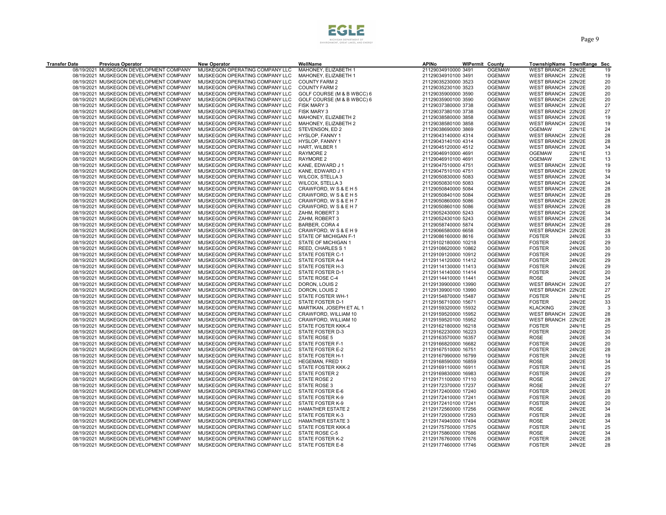| <b>Transfer Date</b> | <b>Previous Operator</b>                | <b>New Operator</b>                             | WellName                   | <b>APINO</b>         | <b>WIPermit County</b> |               | TownshipName TownRange Sec |        |    |
|----------------------|-----------------------------------------|-------------------------------------------------|----------------------------|----------------------|------------------------|---------------|----------------------------|--------|----|
|                      | 08/19/2021 MUSKEGON DEVELOPMENT COMPANY | MUSKEGON OPERATING COMPANY LLC                  | MAHONEY, ELIZABETH 1       | 21129034910000 3491  |                        | <b>OGEMAW</b> | WEST BRANCH 22N/2E         |        | 19 |
|                      | 08/19/2021 MUSKEGON DEVELOPMENT COMPANY | MUSKEGON OPERATING COMPANY LLC                  | MAHONEY, ELIZABETH 1       | 21129034910100 3491  |                        | <b>OGEMAW</b> | WEST BRANCH 22N/2E         |        | 19 |
|                      | 08/19/2021 MUSKEGON DEVELOPMENT COMPANY | MUSKEGON OPERATING COMPANY LLC                  | <b>COUNTY FARM 2</b>       | 21129035230000 3523  |                        | <b>OGEMAW</b> | WEST BRANCH 22N/2E         |        | 20 |
|                      | 08/19/2021 MUSKEGON DEVELOPMENT COMPANY | MUSKEGON OPERATING COMPANY LLC                  | <b>COUNTY FARM 2</b>       | 21129035230100 3523  |                        | <b>OGEMAW</b> | WEST BRANCH 22N/2E         |        | 20 |
|                      | 08/19/2021 MUSKEGON DEVELOPMENT COMPANY | MUSKEGON OPERATING COMPANY LLC                  | GOLF COURSE (M & B WBCC) 6 | 21129035900000 3590  |                        | <b>OGEMAW</b> | WEST BRANCH 22N/2E         |        | 20 |
|                      | 08/19/2021 MUSKEGON DEVELOPMENT COMPANY | MUSKEGON OPERATING COMPANY LLC                  | GOLF COURSE (M & B WBCC) 6 | 21129035900100 3590  |                        | <b>OGEMAW</b> | WEST BRANCH 22N/2E         |        | 20 |
|                      | 08/19/2021 MUSKEGON DEVELOPMENT COMPANY | MUSKEGON OPERATING COMPANY LLC                  | FISK MARY 3                | 21129037380000 3738  |                        | <b>OGEMAW</b> | WEST BRANCH 22N/2E         |        | 27 |
|                      | 08/19/2021 MUSKEGON DEVELOPMENT COMPANY | MUSKEGON OPERATING COMPANY LLC                  | FISK MARY 3                | 21129037380100 3738  |                        | <b>OGEMAW</b> | WEST BRANCH 22N/2E         |        | 27 |
|                      | 08/19/2021 MUSKEGON DEVELOPMENT COMPANY | MUSKEGON OPERATING COMPANY LLC                  | MAHONEY, ELIZABETH 2       | 21129038580000 3858  |                        | <b>OGEMAW</b> | WEST BRANCH 22N/2E         |        | 19 |
|                      | 08/19/2021 MUSKEGON DEVELOPMENT COMPANY | MUSKEGON OPERATING COMPANY LLC                  | MAHONEY, ELIZABETH 2       | 21129038580100 3858  |                        | <b>OGEMAW</b> | WEST BRANCH 22N/2E         |        | 19 |
|                      | 08/19/2021 MUSKEGON DEVELOPMENT COMPANY | MUSKEGON OPERATING COMPANY LLC                  | STEVENSON, ED 2            | 21129038690000 3869  |                        | <b>OGEMAW</b> | <b>OGEMAW</b>              | 22N/1E | 24 |
|                      | 08/19/2021 MUSKEGON DEVELOPMENT COMPANY | MUSKEGON OPERATING COMPANY LLC                  | HYSLOP, FANNY 1            | 21129043140000 4314  |                        | <b>OGEMAW</b> | WEST BRANCH 22N/2E         |        | 28 |
|                      | 08/19/2021 MUSKEGON DEVELOPMENT COMPANY | MUSKEGON OPERATING COMPANY LLC                  | HYSLOP, FANNY 1            | 21129043140100 4314  |                        | <b>OGEMAW</b> | WEST BRANCH 22N/2E         |        | 28 |
|                      | 08/19/2021 MUSKEGON DEVELOPMENT COMPANY | MUSKEGON OPERATING COMPANY LLC                  | HART, WILBER 1             | 21129045120000 4512  |                        | <b>OGEMAW</b> | WEST BRANCH 22N/2E         |        | 34 |
|                      | 08/19/2021 MUSKEGON DEVELOPMENT COMPANY | MUSKEGON OPERATING COMPANY LLC                  | RAYMORE 2                  | 21129046910000 4691  |                        | <b>OGEMAW</b> | <b>OGEMAW</b>              | 22N/1E | 13 |
|                      | 08/19/2021 MUSKEGON DEVELOPMENT COMPANY | MUSKEGON OPERATING COMPANY LLC                  | <b>RAYMORE 2</b>           | 21129046910100 4691  |                        | <b>OGEMAW</b> | <b>OGEMAW</b>              | 22N/1E | 13 |
|                      | 08/19/2021 MUSKEGON DEVELOPMENT COMPANY | MUSKEGON OPERATING COMPANY LLC                  | KANE, EDWARD J1            | 21129047510000 4751  |                        | <b>OGEMAW</b> | WEST BRANCH 22N/2E         |        | 19 |
|                      | 08/19/2021 MUSKEGON DEVELOPMENT COMPANY | MUSKEGON OPERATING COMPANY LLC                  | KANE, EDWARD J1            | 21129047510100 4751  |                        | <b>OGEMAW</b> | WEST BRANCH 22N/2E         |        | 19 |
|                      | 08/19/2021 MUSKEGON DEVELOPMENT COMPANY | MUSKEGON OPERATING COMPANY LLC                  | WILCOX, STELLA 3           | 21129050830000 5083  |                        | <b>OGEMAW</b> | WEST BRANCH 22N/2E         |        | 34 |
|                      | 08/19/2021 MUSKEGON DEVELOPMENT COMPANY | MUSKEGON OPERATING COMPANY LLC                  | WILCOX, STELLA 3           | 21129050830100 5083  |                        | <b>OGEMAW</b> | WEST BRANCH 22N/2E         |        | 34 |
|                      |                                         | MUSKEGON OPERATING COMPANY LLC                  |                            |                      |                        |               |                            |        | 28 |
|                      | 08/19/2021 MUSKEGON DEVELOPMENT COMPANY |                                                 | CRAWFORD, W S & E H 5      | 21129050840000 5084  |                        | <b>OGEMAW</b> | WEST BRANCH 22N/2E         |        |    |
|                      | 08/19/2021 MUSKEGON DEVELOPMENT COMPANY | MUSKEGON OPERATING COMPANY LLC                  | CRAWFORD, W S & E H 5      | 21129050840100 5084  |                        | <b>OGEMAW</b> | WEST BRANCH 22N/2E         |        | 28 |
|                      | 08/19/2021 MUSKEGON DEVELOPMENT COMPANY | MUSKEGON OPERATING COMPANY LLC                  | CRAWFORD, W S & E H 7      | 21129050860000 5086  |                        | <b>OGEMAW</b> | WEST BRANCH 22N/2E         |        | 28 |
|                      | 08/19/2021 MUSKEGON DEVELOPMENT COMPANY | MUSKEGON OPERATING COMPANY LLC                  | CRAWFORD, W S & E H 7      | 21129050860100 5086  |                        | <b>OGEMAW</b> | WEST BRANCH 22N/2E         |        | 28 |
|                      | 08/19/2021 MUSKEGON DEVELOPMENT COMPANY | MUSKEGON OPERATING COMPANY LLC                  | ZAHM, ROBERT 3             | 21129052430000 5243  |                        | <b>OGEMAW</b> | WEST BRANCH 22N/2E         |        | 34 |
|                      | 08/19/2021 MUSKEGON DEVELOPMENT COMPANY | MUSKEGON OPERATING COMPANY LLC                  | ZAHM, ROBERT 3             | 21129052430100 5243  |                        | <b>OGEMAW</b> | WEST BRANCH 22N/2E         |        | 34 |
|                      | 08/19/2021 MUSKEGON DEVELOPMENT COMPANY | MUSKEGON OPERATING COMPANY LLC                  | BARBER, CORA 4             | 21129058740000 5874  |                        | <b>OGEMAW</b> | <b>WEST BRANCH</b>         | 22N/2E | 28 |
|                      | 08/19/2021 MUSKEGON DEVELOPMENT COMPANY | MUSKEGON OPERATING COMPANY LLC                  | CRAWFORD, W S & E H 9      | 21129066580000 6658  |                        | <b>OGEMAW</b> | WEST BRANCH 22N/2E         |        | 28 |
|                      | 08/19/2021 MUSKEGON DEVELOPMENT COMPANY | MUSKEGON OPERATING COMPANY LLC                  | STATE OF MICHIGAN F-1      | 21129086160000 8616  |                        | <b>OGEMAW</b> | <b>FOSTER</b>              | 24N/2E | 33 |
|                      | 08/19/2021 MUSKEGON DEVELOPMENT COMPANY | MUSKEGON OPERATING COMPANY LLC                  | STATE OF MICHIGAN 1        | 21129102180000 10218 |                        | <b>OGEMAW</b> | <b>FOSTER</b>              | 24N/2E | 29 |
|                      | 08/19/2021 MUSKEGON DEVELOPMENT COMPANY | MUSKEGON OPERATING COMPANY LLC                  | REED, CHARLES S 1          | 21129108620000 10862 |                        | <b>OGEMAW</b> | <b>FOSTER</b>              | 24N/2E | 30 |
|                      | 08/19/2021 MUSKEGON DEVELOPMENT COMPANY | MUSKEGON OPERATING COMPANY LLC                  | STATE FOSTER C-1           | 21129109120000 10912 |                        | <b>OGEMAW</b> | <b>FOSTER</b>              | 24N/2E | 29 |
|                      | 08/19/2021 MUSKEGON DEVELOPMENT COMPANY | MUSKEGON OPERATING COMPANY LLC                  | <b>STATE FOSTER A-4</b>    | 21129114120000 11412 |                        | <b>OGEMAW</b> | <b>FOSTER</b>              | 24N/2E | 29 |
|                      | 08/19/2021 MUSKEGON DEVELOPMENT COMPANY | MUSKEGON OPERATING COMPANY LLC                  | STATE FOSTER H-3           | 21129114130000 11413 |                        | <b>OGEMAW</b> | <b>FOSTER</b>              | 24N/2E | 29 |
|                      | 08/19/2021 MUSKEGON DEVELOPMENT COMPANY | MUSKEGON OPERATING COMPANY LLC                  | STATE FOSTER D-1           | 21129114140000 11414 |                        | <b>OGEMAW</b> | <b>FOSTER</b>              | 24N/2E | 20 |
|                      | 08/19/2021 MUSKEGON DEVELOPMENT COMPANY | MUSKEGON OPERATING COMPANY LLC                  | STATE ROSE C-4             | 21129114410000 11441 |                        | <b>OGEMAW</b> | <b>ROSE</b>                | 24N/2E | 34 |
|                      | 08/19/2021 MUSKEGON DEVELOPMENT COMPANY | MUSKEGON OPERATING COMPANY LLC                  | DORON, LOUIS 2             | 21129139900000 13990 |                        | <b>OGEMAW</b> | WEST BRANCH 22N/2E         |        | 27 |
|                      | 08/19/2021 MUSKEGON DEVELOPMENT COMPANY | MUSKEGON OPERATING COMPANY LLC                  | DORON, LOUIS 2             | 21129139900100 13990 |                        | <b>OGEMAW</b> | WEST BRANCH 22N/2E         |        | 27 |
|                      | 08/19/2021 MUSKEGON DEVELOPMENT COMPANY | MUSKEGON OPERATING COMPANY LLC                  | STATE FOSTER WH-1          | 21129154870000 15487 |                        | <b>OGEMAW</b> | <b>FOSTER</b>              | 24N/1E | 25 |
|                      | 08/19/2021 MUSKEGON DEVELOPMENT COMPANY | MUSKEGON OPERATING COMPANY LLC                  | STATE FOSTER D-1           | 21129156710000 15671 |                        | <b>OGEMAW</b> | <b>FOSTER</b>              | 24N/2E | 33 |
|                      | 08/19/2021 MUSKEGON DEVELOPMENT COMPANY | MUSKEGON OPERATING COMPANY LLC                  | MARTIKAN, JOSEPH ET AL 1   | 21129159320000 15932 |                        | <b>OGEMAW</b> | <b>KLACKING</b>            | 23N/2E | -3 |
|                      | 08/19/2021 MUSKEGON DEVELOPMENT COMPANY | MUSKEGON OPERATING COMPANY LLC                  | CRAWFORD, WILLIAM 10       | 21129159520000 15952 |                        | <b>OGEMAW</b> | WEST BRANCH 22N/2E         |        | 28 |
|                      | 08/19/2021 MUSKEGON DEVELOPMENT COMPANY | MUSKEGON OPERATING COMPANY LLC                  | CRAWFORD, WILLIAM 10       | 21129159520100 15952 |                        | <b>OGEMAW</b> | WEST BRANCH 22N/2E         |        | 28 |
|                      | 08/19/2021 MUSKEGON DEVELOPMENT COMPANY | MUSKEGON OPERATING COMPANY LLC                  | <b>STATE FOSTER KKK-4</b>  | 21129162180000 16218 |                        | <b>OGEMAW</b> | <b>FOSTER</b>              | 24N/1E | 25 |
|                      | 08/19/2021 MUSKEGON DEVELOPMENT COMPANY | MUSKEGON OPERATING COMPANY LLC                  | STATE FOSTER D-3           | 21129162230000 16223 |                        | <b>OGEMAW</b> | <b>FOSTER</b>              | 24N/2E | 20 |
|                      | 08/19/2021 MUSKEGON DEVELOPMENT COMPANY | MUSKEGON OPERATING COMPANY LLC                  | STATE ROSE 5               | 21129163570000 16357 |                        | <b>OGEMAW</b> | <b>ROSE</b>                | 24N/2E | 34 |
|                      | 08/19/2021 MUSKEGON DEVELOPMENT COMPANY | MUSKEGON OPERATING COMPANY LLC                  | STATE FOSTER F-1           | 21129166820000 16682 |                        | <b>OGEMAW</b> | <b>FOSTER</b>              | 24N/2E | 20 |
|                      | 08/19/2021 MUSKEGON DEVELOPMENT COMPANY | MUSKEGON OPERATING COMPANY LLC                  | STATE FOSTER E-2           | 21129167510000 16751 |                        | <b>OGEMAW</b> | <b>FOSTER</b>              | 24N/2E | 28 |
|                      | 08/19/2021 MUSKEGON DEVELOPMENT COMPANY | MUSKEGON OPERATING COMPANY LLC                  | STATE FOSTER H-1           | 21129167990000 16799 |                        | <b>OGEMAW</b> | <b>FOSTER</b>              | 24N/2E | 19 |
|                      | 08/19/2021 MUSKEGON DEVELOPMENT COMPANY | MUSKEGON OPERATING COMPANY LLC                  | <b>HEGEMAN, FRED 1</b>     | 21129168590000 16859 |                        | <b>OGEMAW</b> | <b>ROSE</b>                | 24N/2E | 34 |
|                      | 08/19/2021 MUSKEGON DEVELOPMENT COMPANY | MUSKEGON OPERATING COMPANY LLC                  | <b>STATE FOSTER KKK-2</b>  | 21129169110000 16911 |                        | <b>OGEMAW</b> | <b>FOSTER</b>              | 24N/1E | 25 |
|                      | 08/19/2021 MUSKEGON DEVELOPMENT COMPANY | MUSKEGON OPERATING COMPANY LLC                  | <b>STATE FOSTER 2</b>      | 21129169830000 16983 |                        | <b>OGEMAW</b> | <b>FOSTER</b>              | 24N/2E | 29 |
|                      | 08/19/2021 MUSKEGON DEVELOPMENT COMPANY | MUSKEGON OPERATING COMPANY LLC                  | STATE ROSE 2               | 21129171100000 17110 |                        | <b>OGEMAW</b> | <b>ROSE</b>                | 24N/2E | 27 |
|                      | 08/19/2021 MUSKEGON DEVELOPMENT COMPANY | MUSKEGON OPERATING COMPANY LLC                  | STATE ROSE 3               | 21129172370000 17237 |                        | <b>OGEMAW</b> | <b>ROSE</b>                | 24N/2E | 27 |
|                      | 08/19/2021 MUSKEGON DEVELOPMENT COMPANY | MUSKEGON OPERATING COMPANY LLC                  | STATE FOSTER E-6           | 21129172400000 17240 |                        | <b>OGEMAW</b> | <b>FOSTER</b>              | 24N/2E | 28 |
|                      | 08/19/2021 MUSKEGON DEVELOPMENT COMPANY | MUSKEGON OPERATING COMPANY LLC                  | STATE FOSTER K-9           | 21129172410000 17241 |                        | <b>OGEMAW</b> | <b>FOSTER</b>              | 24N/2E | 20 |
|                      | 08/19/2021 MUSKEGON DEVELOPMENT COMPANY | MUSKEGON OPERATING COMPANY LLC                  | STATE FOSTER K-9           | 21129172410100 17241 |                        | <b>OGEMAW</b> | <b>FOSTER</b>              | 24N/2E | 20 |
|                      | 08/19/2021 MUSKEGON DEVELOPMENT COMPANY | MUSKEGON OPERATING COMPANY LLC                  | <b>HAMATHER ESTATE 2</b>   | 21129172560000 17256 |                        | <b>OGEMAW</b> | <b>ROSE</b>                | 24N/2E | 34 |
|                      | 08/19/2021 MUSKEGON DEVELOPMENT COMPANY | MUSKEGON OPERATING COMPANY LLC                  | STATE FOSTER K-3           | 21129172930000 17293 |                        | <b>OGEMAW</b> | <b>FOSTER</b>              | 24N/2E | 28 |
|                      | 08/19/2021 MUSKEGON DEVELOPMENT COMPANY | MUSKEGON OPERATING COMPANY LLC                  | <b>HAMATHER ESTATE 3</b>   | 21129174940000 17494 |                        | <b>OGEMAW</b> | <b>ROSE</b>                | 24N/2E | 34 |
|                      | 08/19/2021 MUSKEGON DEVELOPMENT COMPANY | MUSKEGON OPERATING COMPANY LLC                  | STATE FOSTER KKK-8         | 21129175750000 17575 |                        | <b>OGEMAW</b> | <b>FOSTER</b>              | 24N/1E | 25 |
|                      | 08/19/2021 MUSKEGON DEVELOPMENT COMPANY | MUSKEGON OPERATING COMPANY LLC                  | STATE ROSE C-5             | 21129175860000 17586 |                        | <b>OGEMAW</b> | <b>ROSE</b>                | 24N/2E | 34 |
|                      | 08/19/2021 MUSKEGON DEVELOPMENT COMPANY | MUSKEGON OPERATING COMPANY LLC                  | STATE FOSTER K-2           | 21129176760000 17676 |                        | <b>OGEMAW</b> | <b>FOSTER</b>              | 24N/2E | 28 |
|                      | 08/19/2021 MUSKEGON DEVELOPMENT COMPANY | MUSKEGON OPERATING COMPANY LLC STATE FOSTER E-8 |                            | 21129177460000 17746 |                        | <b>OGEMAW</b> | <b>FOSTER</b>              | 24N/2E | 28 |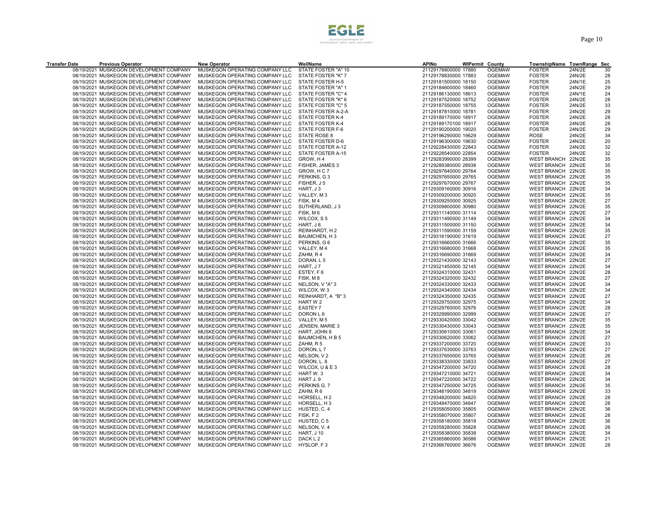| <b>Transfer Date</b> | <b>Previous Operator</b>                | <b>New Operator</b>            | WellName                | <b>APINO</b>                                 | <b>WIPermit County</b> |                                | TownshipName TownRange Sec               |        |    |
|----------------------|-----------------------------------------|--------------------------------|-------------------------|----------------------------------------------|------------------------|--------------------------------|------------------------------------------|--------|----|
|                      | 08/19/2021 MUSKEGON DEVELOPMENT COMPANY | MUSKEGON OPERATING COMPANY LLC | STATE FOSTER "A" 10     | 21129178800000 17880                         |                        | <b>OGEMAW</b>                  | <b>FOSTER</b>                            | 24N/2E | 30 |
|                      | 08/19/2021 MUSKEGON DEVELOPMENT COMPANY | MUSKEGON OPERATING COMPANY LLC | STATE FOSTER "K" 7      | 21129178830000 17883                         |                        | <b>OGEMAW</b>                  | <b>FOSTER</b>                            | 24N/2E | 28 |
|                      | 08/19/2021 MUSKEGON DEVELOPMENT COMPANY | MUSKEGON OPERATING COMPANY LLC | STATE FOSTER H-5        | 21129181500000 18150                         |                        | <b>OGEMAW</b>                  | <b>FOSTER</b>                            | 24N/1E | 25 |
|                      | 08/19/2021 MUSKEGON DEVELOPMENT COMPANY | MUSKEGON OPERATING COMPANY LLC | STATE FOSTER "A" 1      | 21129184600000 18460                         |                        | <b>OGEMAW</b>                  | <b>FOSTER</b>                            | 24N/2E | 29 |
|                      | 08/19/2021 MUSKEGON DEVELOPMENT COMPANY | MUSKEGON OPERATING COMPANY LLC | STATE FOSTER "C" 4      | 21129186130000 18613                         |                        | <b>OGEMAW</b>                  | <b>FOSTER</b>                            | 24N/1E | 24 |
|                      | 08/19/2021 MUSKEGON DEVELOPMENT COMPANY | MUSKEGON OPERATING COMPANY LLC | STATE FOSTER "K" 6      | 21129187520000 18752                         |                        | <b>OGEMAW</b>                  | <b>FOSTER</b>                            | 24N/2E | 28 |
|                      | 08/19/2021 MUSKEGON DEVELOPMENT COMPANY | MUSKEGON OPERATING COMPANY LLC | STATE FOSTER "C" 5      | 21129187550000 18755                         |                        | <b>OGEMAW</b>                  | <b>FOSTER</b>                            | 24N/2E | 33 |
|                      | 08/19/2021 MUSKEGON DEVELOPMENT COMPANY | MUSKEGON OPERATING COMPANY LLC | STATE FOSTER A-2-A      | 21129187810000 18781                         |                        | <b>OGEMAW</b>                  | <b>FOSTER</b>                            | 24N/2E | 29 |
|                      | 08/19/2021 MUSKEGON DEVELOPMENT COMPANY | MUSKEGON OPERATING COMPANY LLC | <b>STATE FOSTER K-4</b> | 21129189170000 18917                         |                        | <b>OGEMAW</b>                  | <b>FOSTER</b>                            | 24N/2E | 28 |
|                      | 08/19/2021 MUSKEGON DEVELOPMENT COMPANY | MUSKEGON OPERATING COMPANY LLC | <b>STATE FOSTER K-4</b> | 21129189170100 18917                         |                        | <b>OGEMAW</b>                  | <b>FOSTER</b>                            | 24N/2E | 28 |
|                      | 08/19/2021 MUSKEGON DEVELOPMENT COMPANY | MUSKEGON OPERATING COMPANY LLC | STATE FOSTER F-6        | 21129190200000 19020                         |                        | <b>OGEMAW</b>                  | <b>FOSTER</b>                            | 24N/2E | 29 |
|                      | 08/19/2021 MUSKEGON DEVELOPMENT COMPANY | MUSKEGON OPERATING COMPANY LLC | STATE ROSE 8            | 21129196290000 19629                         |                        | <b>OGEMAW</b>                  | <b>ROSE</b>                              | 24N/2E | 34 |
|                      | 08/19/2021 MUSKEGON DEVELOPMENT COMPANY | MUSKEGON OPERATING COMPANY LLC | STATE FOSTER D-6        | 21129196300000 19630                         |                        | <b>OGEMAW</b>                  | <b>FOSTER</b>                            | 24N/2E | 20 |
|                      | 08/19/2021 MUSKEGON DEVELOPMENT COMPANY | MUSKEGON OPERATING COMPANY LLC | STATE FOSTER A-12       | 21129228430000 22843                         |                        | <b>OGEMAW</b>                  | <b>FOSTER</b>                            | 24N/2E | 32 |
|                      | 08/19/2021 MUSKEGON DEVELOPMENT COMPANY | MUSKEGON OPERATING COMPANY LLC | STATE FOSTER A-15       | 21129228540000 22854                         |                        | <b>OGEMAW</b>                  | <b>FOSTER</b>                            | 24N/2E | 32 |
|                      | 08/19/2021 MUSKEGON DEVELOPMENT COMPANY | MUSKEGON OPERATING COMPANY LLC | GROW, H4                | 21129283990000 28399                         |                        | <b>OGEMAW</b>                  | WEST BRANCH 22N/2E                       |        | 35 |
|                      | 08/19/2021 MUSKEGON DEVELOPMENT COMPANY | MUSKEGON OPERATING COMPANY LLC | FISHER, JAMES 3         | 21129289380000 28938                         |                        | <b>OGEMAW</b>                  | WEST BRANCH 22N/2E                       |        | 35 |
|                      | 08/19/2021 MUSKEGON DEVELOPMENT COMPANY | MUSKEGON OPERATING COMPANY LLC | GROW, HC 7              | 21129297640000 29764                         |                        | <b>OGEMAW</b>                  | WEST BRANCH 22N/2E                       |        | 35 |
|                      | 08/19/2021 MUSKEGON DEVELOPMENT COMPANY | MUSKEGON OPERATING COMPANY LLC | PERKINS, G3             | 21129297650000 29765                         |                        | <b>OGEMAW</b>                  | WEST BRANCH 22N/2E                       |        | 35 |
|                      | 08/19/2021 MUSKEGON DEVELOPMENT COMPANY | MUSKEGON OPERATING COMPANY LLC | FISHER, J 5             | 21129297670000 29767                         |                        | <b>OGEMAW</b>                  | WEST BRANCH 22N/2E                       |        | 35 |
|                      | 08/19/2021 MUSKEGON DEVELOPMENT COMPANY | MUSKEGON OPERATING COMPANY LLC | HART, J3                | 21129309160000 30916                         |                        | <b>OGEMAW</b>                  | WEST BRANCH 22N/2E                       |        | 34 |
|                      | 08/19/2021 MUSKEGON DEVELOPMENT COMPANY | MUSKEGON OPERATING COMPANY LLC | VALLEY, M3              | 21129309200000 30920                         |                        | <b>OGEMAW</b>                  | WEST BRANCH 22N/2E                       |        | 35 |
|                      | 08/19/2021 MUSKEGON DEVELOPMENT COMPANY | MUSKEGON OPERATING COMPANY LLC | FISK, M4                | 21129309250000 30925                         |                        | <b>OGEMAW</b>                  | WEST BRANCH 22N/2E                       |        | 27 |
|                      | 08/19/2021 MUSKEGON DEVELOPMENT COMPANY | MUSKEGON OPERATING COMPANY LLC | SUTHERLAND, J3          | 21129309800000 30980                         |                        | <b>OGEMAW</b>                  | WEST BRANCH 22N/2E                       |        | 35 |
|                      | 08/19/2021 MUSKEGON DEVELOPMENT COMPANY | MUSKEGON OPERATING COMPANY LLC | FISK, M 6               | 21129311140000 31114                         |                        | <b>OGEMAW</b>                  | WEST BRANCH 22N/2E                       |        | 27 |
|                      | 08/19/2021 MUSKEGON DEVELOPMENT COMPANY | MUSKEGON OPERATING COMPANY LLC | WILCOX, S 5             | 21129311490000 31149                         |                        | <b>OGEMAW</b>                  | WEST BRANCH 22N/2E                       |        | 34 |
|                      | 08/19/2021 MUSKEGON DEVELOPMENT COMPANY | MUSKEGON OPERATING COMPANY LLC | HART, J 6               | 21129311500000 31150                         |                        | <b>OGEMAW</b>                  | WEST BRANCH 22N/2E                       |        | 34 |
|                      | 08/19/2021 MUSKEGON DEVELOPMENT COMPANY | MUSKEGON OPERATING COMPANY LLC | REINHARDT. H 2          | 21129311590000 31159                         |                        | <b>OGEMAW</b>                  | WEST BRANCH 22N/2E                       |        | 35 |
|                      | 08/19/2021 MUSKEGON DEVELOPMENT COMPANY | MUSKEGON OPERATING COMPANY LLC | BAUMCHEN, H3            | 21129316190000 31619                         |                        | <b>OGEMAW</b>                  | WEST BRANCH 22N/2E                       |        | 27 |
|                      | 08/19/2021 MUSKEGON DEVELOPMENT COMPANY | MUSKEGON OPERATING COMPANY LLC | PERKINS, G 6            | 21129316660000 31666                         |                        | <b>OGEMAW</b>                  | WEST BRANCH 22N/2E                       |        | 35 |
|                      | 08/19/2021 MUSKEGON DEVELOPMENT COMPANY | MUSKEGON OPERATING COMPANY LLC | VALLEY, M4              |                                              |                        | <b>OGEMAW</b>                  | WEST BRANCH 22N/2E                       |        | 35 |
|                      | 08/19/2021 MUSKEGON DEVELOPMENT COMPANY | MUSKEGON OPERATING COMPANY LLC |                         | 21129316680000 31668                         |                        |                                | WEST BRANCH 22N/2E                       |        | 34 |
|                      | 08/19/2021 MUSKEGON DEVELOPMENT COMPANY | MUSKEGON OPERATING COMPANY LLC | ZAHM, R 4<br>DORAN, L 5 | 21129316690000 31669<br>21129321430000 32143 |                        | <b>OGEMAW</b><br><b>OGEMAW</b> | WEST BRANCH 22N/2E                       |        | 27 |
|                      | 08/19/2021 MUSKEGON DEVELOPMENT COMPANY | MUSKEGON OPERATING COMPANY LLC | HART, J7                | 21129321450000 32145                         |                        | <b>OGEMAW</b>                  | WEST BRANCH 22N/2E                       |        | 34 |
|                      | 08/19/2021 MUSKEGON DEVELOPMENT COMPANY | MUSKEGON OPERATING COMPANY LLC | ESTEY, F6               |                                              |                        |                                |                                          |        | 28 |
|                      |                                         | MUSKEGON OPERATING COMPANY LLC |                         | 21129324310000 32431                         |                        | <b>OGEMAW</b>                  | WEST BRANCH 22N/2E<br>WEST BRANCH 22N/2E |        | 27 |
|                      | 08/19/2021 MUSKEGON DEVELOPMENT COMPANY |                                | FISK, M8                | 21129324320000 32432                         |                        | <b>OGEMAW</b>                  |                                          |        |    |
|                      | 08/19/2021 MUSKEGON DEVELOPMENT COMPANY | MUSKEGON OPERATING COMPANY LLC | NELSON, V"A" 3          | 21129324330000 32433                         |                        | <b>OGEMAW</b>                  | WEST BRANCH 22N/2E                       |        | 34 |
|                      | 08/19/2021 MUSKEGON DEVELOPMENT COMPANY | MUSKEGON OPERATING COMPANY LLC | WILCOX, W 3             | 21129324340000 32434                         |                        | <b>OGEMAW</b>                  | WEST BRANCH 22N/2E                       |        | 34 |
|                      | 08/19/2021 MUSKEGON DEVELOPMENT COMPANY | MUSKEGON OPERATING COMPANY LLC | REINHARDT, A "B" 3      | 21129324350000 32435                         |                        | <b>OGEMAW</b>                  | WEST BRANCH 22N/2E                       |        | 27 |
|                      | 08/19/2021 MUSKEGON DEVELOPMENT COMPANY | MUSKEGON OPERATING COMPANY LLC | HART W 2                | 21129329750000 32975                         |                        | <b>OGEMAW</b>                  | WEST BRANCH 22N/2E                       |        | 34 |
|                      | 08/19/2021 MUSKEGON DEVELOPMENT COMPANY | MUSKEGON OPERATING COMPANY LLC | <b>EASTEY 7</b>         | 21129329760000 32976                         |                        | <b>OGEMAW</b>                  | WEST BRANCH 22N/2E                       |        | 28 |
|                      | 08/19/2021 MUSKEGON DEVELOPMENT COMPANY | MUSKEGON OPERATING COMPANY LLC | DORON L 6               | 21129329990000 32999                         |                        | <b>OGEMAW</b>                  | WEST BRANCH 22N/2E                       |        | 27 |
|                      | 08/19/2021 MUSKEGON DEVELOPMENT COMPANY | MUSKEGON OPERATING COMPANY LLC | VALLEY, M5              | 21129330420000 33042                         |                        | <b>OGEMAW</b>                  | WEST BRANCH 22N/2E                       |        | 35 |
|                      | 08/19/2021 MUSKEGON DEVELOPMENT COMPANY | MUSKEGON OPERATING COMPANY LLC | JENSEN, MARIE 3         | 21129330430000 33043                         |                        | <b>OGEMAW</b>                  | WEST BRANCH 22N/2E                       |        | 35 |
|                      | 08/19/2021 MUSKEGON DEVELOPMENT COMPANY | MUSKEGON OPERATING COMPANY LLC | HART. JOHN 8            | 21129330610000 33061                         |                        | <b>OGEMAW</b>                  | WEST BRANCH 22N/2E                       |        | 34 |
|                      | 08/19/2021 MUSKEGON DEVELOPMENT COMPANY | MUSKEGON OPERATING COMPANY LLC | BAUMCHEN, H B 5         | 21129330620000 33062                         |                        | <b>OGEMAW</b>                  | WEST BRANCH 22N/2E                       |        | 27 |
|                      | 08/19/2021 MUSKEGON DEVELOPMENT COMPANY | MUSKEGON OPERATING COMPANY LLC | ZAHM, R 5               | 21129337200000 33720                         |                        | <b>OGEMAW</b>                  | WEST BRANCH 22N/2E                       |        | 33 |
|                      | 08/19/2021 MUSKEGON DEVELOPMENT COMPANY | MUSKEGON OPERATING COMPANY LLC | DORON, L7               | 21129337630000 33763                         |                        | <b>OGEMAW</b>                  | WEST BRANCH 22N/2E                       |        | 27 |
|                      | 08/19/2021 MUSKEGON DEVELOPMENT COMPANY | MUSKEGON OPERATING COMPANY LLC | NELSON, V2              | 21129337650000 33765                         |                        | <b>OGEMAW</b>                  | WEST BRANCH 22N/2E                       |        | 26 |
|                      | 08/19/2021 MUSKEGON DEVELOPMENT COMPANY | MUSKEGON OPERATING COMPANY LLC | DORON, L. 8             | 21129338330000 33833                         |                        | <b>OGEMAW</b>                  | WEST BRANCH 22N/2E                       |        | 27 |
|                      | 08/19/2021 MUSKEGON DEVELOPMENT COMPANY | MUSKEGON OPERATING COMPANY LLC | WILCOX, U & E 3         | 21129347200000 34720                         |                        | <b>OGEMAW</b>                  | WEST BRANCH 22N/2E                       |        | 28 |
|                      | 08/19/2021 MUSKEGON DEVELOPMENT COMPANY | MUSKEGON OPERATING COMPANY LLC | HART W.3                | 21129347210000 34721                         |                        | <b>OGEMAW</b>                  | WEST BRANCH 22N/2E                       |        | 34 |
|                      | 08/19/2021 MUSKEGON DEVELOPMENT COMPANY | MUSKEGON OPERATING COMPANY LLC | HART J.9                | 21129347220000 34722                         |                        | <b>OGEMAW</b>                  | WEST BRANCH 22N/2E                       |        | 34 |
|                      | 08/19/2021 MUSKEGON DEVELOPMENT COMPANY | MUSKEGON OPERATING COMPANY LLC | PERKINS G. 7            | 21129347250000 34725                         |                        | <b>OGEMAW</b>                  | WEST BRANCH 22N/2E                       |        | 35 |
|                      | 08/19/2021 MUSKEGON DEVELOPMENT COMPANY | MUSKEGON OPERATING COMPANY LLC | ZAHM, R 6               | 21129348190000 34819                         |                        | <b>OGEMAW</b>                  | WEST BRANCH 22N/2E                       |        | 33 |
|                      | 08/19/2021 MUSKEGON DEVELOPMENT COMPANY | MUSKEGON OPERATING COMPANY LLC | HORSELL, H2             | 21129348200000 34820                         |                        | <b>OGEMAW</b>                  | WEST BRANCH 22N/2E                       |        | 28 |
|                      | 08/19/2021 MUSKEGON DEVELOPMENT COMPANY | MUSKEGON OPERATING COMPANY LLC | HORSELL, H3             | 21129348470000 34847                         |                        | <b>OGEMAW</b>                  | WEST BRANCH 22N/2E                       |        | 28 |
|                      | 08/19/2021 MUSKEGON DEVELOPMENT COMPANY | MUSKEGON OPERATING COMPANY LLC | HUSTED, C. 4            | 21129358050000 35805                         |                        | <b>OGEMAW</b>                  | WEST BRANCH 22N/2E                       |        | 36 |
|                      | 08/19/2021 MUSKEGON DEVELOPMENT COMPANY | MUSKEGON OPERATING COMPANY LLC | FISK, F2                | 21129358070000 35807                         |                        | <b>OGEMAW</b>                  | WEST BRANCH 22N/2E                       |        | 28 |
|                      | 08/19/2021 MUSKEGON DEVELOPMENT COMPANY | MUSKEGON OPERATING COMPANY LLC | HUSTED, C 5             | 21129358180000 35818                         |                        | <b>OGEMAW</b>                  | WEST BRANCH 22N/2E                       |        | 36 |
|                      | 08/19/2021 MUSKEGON DEVELOPMENT COMPANY | MUSKEGON OPERATING COMPANY LLC | NELSON, V.4             | 21129358280000 35828                         |                        | <b>OGEMAW</b>                  | WEST BRANCH 22N/2E                       |        | 26 |
|                      | 08/19/2021 MUSKEGON DEVELOPMENT COMPANY | MUSKEGON OPERATING COMPANY LLC | <b>HART, J10</b>        | 21129358380000 35838                         |                        | <b>OGEMAW</b>                  | WEST BRANCH 22N/2E                       |        | 34 |
|                      | 08/19/2021 MUSKEGON DEVELOPMENT COMPANY | MUSKEGON OPERATING COMPANY LLC | DACK L 2                | 21129365860000 36586                         |                        | <b>OGEMAW</b>                  | WEST BRANCH 22N/2E                       |        | 21 |
|                      | 08/19/2021 MUSKEGON DEVELOPMENT COMPANY | MUSKEGON OPERATING COMPANY LLC | HYSLOP, F3              | 21129366760000 36676                         |                        | <b>OGEMAW</b>                  | WEST BRANCH 22N/2E                       |        | 28 |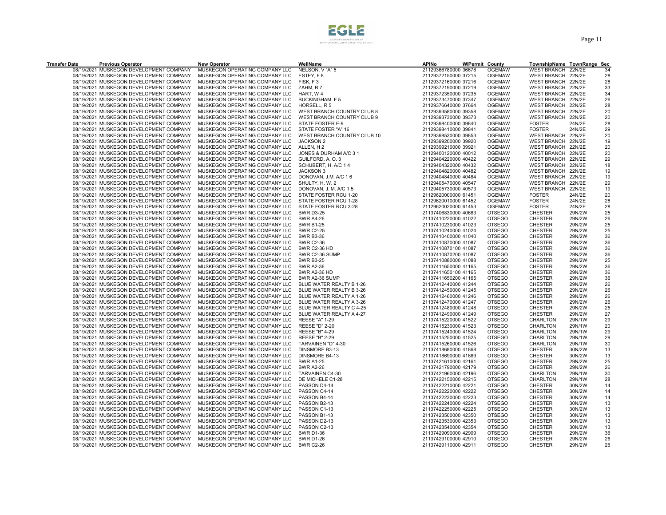| <b>Transfer Date</b> | <b>Previous Operator</b>                | <b>New Operator</b>            | WellName                    | <b>APINO</b>                                 | <b>WIPermit County</b> |                                | TownshipName TownRange Sec       |                  |    |
|----------------------|-----------------------------------------|--------------------------------|-----------------------------|----------------------------------------------|------------------------|--------------------------------|----------------------------------|------------------|----|
|                      | 08/19/2021 MUSKEGON DEVELOPMENT COMPANY | MUSKEGON OPERATING COMPANY LLC | NELSON, V"A" 5              | 21129366780000 36678                         |                        | <b>OGEMAW</b>                  | WEST BRANCH 22N/2E               |                  | 34 |
|                      | 08/19/2021 MUSKEGON DEVELOPMENT COMPANY | MUSKEGON OPERATING COMPANY LLC | ESTEY, F8                   | 21129372150000 37215                         |                        | <b>OGEMAW</b>                  | WEST BRANCH 22N/2E               |                  | 28 |
|                      | 08/19/2021 MUSKEGON DEVELOPMENT COMPANY | MUSKEGON OPERATING COMPANY LLC | FISK, F3                    | 21129372160000 37216                         |                        | <b>OGEMAW</b>                  | WEST BRANCH 22N/2E               |                  | 28 |
|                      | 08/19/2021 MUSKEGON DEVELOPMENT COMPANY | MUSKEGON OPERATING COMPANY LLC | ZAHM, R 7                   | 21129372190000 37219                         |                        | <b>OGEMAW</b>                  | WEST BRANCH 22N/2E               |                  | 33 |
|                      | 08/19/2021 MUSKEGON DEVELOPMENT COMPANY | MUSKEGON OPERATING COMPANY LLC | HART, W4                    | 21129372350000 37235                         |                        | <b>OGEMAW</b>                  | WEST BRANCH 22N/2E               |                  | 34 |
|                      | 08/19/2021 MUSKEGON DEVELOPMENT COMPANY | MUSKEGON OPERATING COMPANY LLC | <b>BUCKINGHAM, F5</b>       | 21129373470000 37347                         |                        | <b>OGEMAW</b>                  | WEST BRANCH 22N/2E               |                  | 26 |
|                      | 08/19/2021 MUSKEGON DEVELOPMENT COMPANY | MUSKEGON OPERATING COMPANY LLC | HORSELL, R 5                | 21129376640000 37664                         |                        | <b>OGEMAW</b>                  | WEST BRANCH 22N/2E               |                  | 28 |
|                      | 08/19/2021 MUSKEGON DEVELOPMENT COMPANY | MUSKEGON OPERATING COMPANY LLC | WEST BRANCH COUNTRY CLUB 8  | 21129393580000 39358                         |                        | <b>OGEMAW</b>                  | WEST BRANCH 22N/2E               |                  | 20 |
|                      | 08/19/2021 MUSKEGON DEVELOPMENT COMPANY | MUSKEGON OPERATING COMPANY LLC | WEST BRANCH COUNTRY CLUB 9  | 21129393730000 39373                         |                        | <b>OGEMAW</b>                  | WEST BRANCH 22N/2E               |                  | 20 |
|                      | 08/19/2021 MUSKEGON DEVELOPMENT COMPANY | MUSKEGON OPERATING COMPANY LLC | STATE FOSTER E-9            | 21129398400000 39840                         |                        | <b>OGEMAW</b>                  | <b>FOSTER</b>                    | 24N/2E           | 28 |
|                      | 08/19/2021 MUSKEGON DEVELOPMENT COMPANY | MUSKEGON OPERATING COMPANY LLC | STATE FOSTER "A" 16         | 21129398410000 39841                         |                        | <b>OGEMAW</b>                  | <b>FOSTER</b>                    | 24N/2E           | 29 |
|                      | 08/19/2021 MUSKEGON DEVELOPMENT COMPANY | MUSKEGON OPERATING COMPANY LLC | WEST BRANCH COUNTRY CLUB 10 | 21129398530000 39853                         |                        | <b>OGEMAW</b>                  | WEST BRANCH 22N/2E               |                  | 20 |
|                      | 08/19/2021 MUSKEGON DEVELOPMENT COMPANY | MUSKEGON OPERATING COMPANY LLC | <b>JACKSON 2</b>            | 21129399200000 39920                         |                        | <b>OGEMAW</b>                  | WEST BRANCH 22N/2E               |                  | 19 |
|                      | 08/19/2021 MUSKEGON DEVELOPMENT COMPANY | MUSKEGON OPERATING COMPANY LLC | ALLEN, H2                   | 21129399210000 39921                         |                        | <b>OGEMAW</b>                  | WEST BRANCH 22N/2E               |                  | 20 |
|                      | 08/19/2021 MUSKEGON DEVELOPMENT COMPANY | MUSKEGON OPERATING COMPANY LLC | JONES & DURHAM A/C 31       | 21129400120000 40012                         |                        | <b>OGEMAW</b>                  | WEST BRANCH 22N/2E               |                  | 20 |
|                      | 08/19/2021 MUSKEGON DEVELOPMENT COMPANY | MUSKEGON OPERATING COMPANY LLC | GUILFORD, A.O.3             | 21129404220000 40422                         |                        | <b>OGEMAW</b>                  | WEST BRANCH 22N/2E               |                  | 29 |
|                      | 08/19/2021 MUSKEGON DEVELOPMENT COMPANY | MUSKEGON OPERATING COMPANY LLC | SCHUBERT, H. A/C 14         | 21129404320000 40432                         |                        | <b>OGEMAW</b>                  | WEST BRANCH 22N/2E               |                  | 18 |
|                      | 08/19/2021 MUSKEGON DEVELOPMENT COMPANY | MUSKEGON OPERATING COMPANY LLC | <b>JACKSON 3</b>            | 21129404820000 40482                         |                        | <b>OGEMAW</b>                  | WEST BRANCH 22N/2E               |                  | 19 |
|                      | 08/19/2021 MUSKEGON DEVELOPMENT COMPANY | MUSKEGON OPERATING COMPANY LLC | DONOVAN, J.M. A/C 16        | 21129404840000 40484                         |                        | <b>OGEMAW</b>                  | WEST BRANCH 22N/2E               |                  | 19 |
|                      | 08/19/2021 MUSKEGON DEVELOPMENT COMPANY | MUSKEGON OPERATING COMPANY LLC | SHULTY, H. W. 2             | 21129405470000 40547                         |                        | <b>OGEMAW</b>                  | WEST BRANCH 22N/2E               |                  | 29 |
|                      | 08/19/2021 MUSKEGON DEVELOPMENT COMPANY | MUSKEGON OPERATING COMPANY LLC | DONOVAN, J. M. A/C 15       | 21129405730000 40573                         |                        | <b>OGEMAW</b>                  | WEST BRANCH 22N/2E               |                  | 19 |
|                      | 08/19/2021 MUSKEGON DEVELOPMENT COMPANY | MUSKEGON OPERATING COMPANY LLC | STATE FOSTER RCU 1-20       | 21129620000000 61451                         |                        | <b>OGEMAW</b>                  | <b>FOSTER</b>                    | 24N/2E           | 20 |
|                      | 08/19/2021 MUSKEGON DEVELOPMENT COMPANY | MUSKEGON OPERATING COMPANY LLC | STATE FOSTER RCU 1-28       | 21129620010000 61452                         |                        | <b>OGEMAW</b>                  | <b>FOSTER</b>                    | 24N/2E           | 28 |
|                      | 08/19/2021 MUSKEGON DEVELOPMENT COMPANY | MUSKEGON OPERATING COMPANY LLC | STATE FOSTER RCU 3-28       | 21129620020000 61453                         |                        | <b>OGEMAW</b>                  | <b>FOSTER</b>                    | 24N/2E           | 28 |
|                      | 08/19/2021 MUSKEGON DEVELOPMENT COMPANY | MUSKEGON OPERATING COMPANY LLC | <b>BWR D3-25</b>            | 21137406830000 40683                         |                        | <b>OTSEGO</b>                  | <b>CHESTER</b>                   | 29N/2W           | 25 |
|                      | 08/19/2021 MUSKEGON DEVELOPMENT COMPANY | MUSKEGON OPERATING COMPANY LLC | <b>BWR A4-26</b>            | 21137410220000 41022                         |                        | <b>OTSEGO</b>                  | <b>CHESTER</b>                   | 29N/2W           | 26 |
|                      | 08/19/2021 MUSKEGON DEVELOPMENT COMPANY | MUSKEGON OPERATING COMPANY LLC | <b>BWR B1-25</b>            | 21137410230000 41023                         |                        | <b>OTSEGO</b>                  | <b>CHESTER</b>                   | 29N/2W           | 25 |
|                      | 08/19/2021 MUSKEGON DEVELOPMENT COMPANY | MUSKEGON OPERATING COMPANY LLC | <b>BWR C2-25</b>            | 21137410240000 41024                         |                        | <b>OTSEGO</b>                  | <b>CHESTER</b>                   | 29N/2W           | 25 |
|                      | 08/19/2021 MUSKEGON DEVELOPMENT COMPANY | MUSKEGON OPERATING COMPANY LLC | <b>BWR B3-36</b>            | 21137410400000 41040                         |                        | <b>OTSEGO</b>                  | <b>CHESTER</b>                   | 29N/2W           | 36 |
|                      | 08/19/2021 MUSKEGON DEVELOPMENT COMPANY | MUSKEGON OPERATING COMPANY LLC | <b>BWR C2-36</b>            | 21137410870000 41087                         |                        | <b>OTSEGO</b>                  | <b>CHESTER</b>                   | 29N/2W           | 36 |
|                      | 08/19/2021 MUSKEGON DEVELOPMENT COMPANY | MUSKEGON OPERATING COMPANY LLC | <b>BWR C2-36 HD</b>         | 21137410870100 41087                         |                        | <b>OTSEGO</b>                  |                                  | 29N/2W           | 36 |
|                      | 08/19/2021 MUSKEGON DEVELOPMENT COMPANY | MUSKEGON OPERATING COMPANY LLC | BWR C2-36 SUMP              | 21137410870200 41087                         |                        | <b>OTSEGO</b>                  | <b>CHESTER</b><br><b>CHESTER</b> | 29N/2W           | 36 |
|                      | 08/19/2021 MUSKEGON DEVELOPMENT COMPANY | MUSKEGON OPERATING COMPANY LLC | <b>BWR B3-25</b>            | 21137410880000 41088                         |                        | <b>OTSEGO</b>                  | <b>CHESTER</b>                   | 29N/2W           | 25 |
|                      | 08/19/2021 MUSKEGON DEVELOPMENT COMPANY | MUSKEGON OPERATING COMPANY LLC | <b>BWR A2-36</b>            | 21137411650000 41165                         |                        | <b>OTSEGO</b>                  | <b>CHESTER</b>                   | 29N/2W           | 36 |
|                      | 08/19/2021 MUSKEGON DEVELOPMENT COMPANY | MUSKEGON OPERATING COMPANY LLC | <b>BWR A2-36 HD</b>         | 21137411650100 41165                         |                        | <b>OTSEGO</b>                  | <b>CHESTER</b>                   | 29N/2W           | 36 |
|                      | 08/19/2021 MUSKEGON DEVELOPMENT COMPANY | MUSKEGON OPERATING COMPANY LLC | BWR A2-36 SUMP              | 21137411650200 41165                         |                        | <b>OTSEGO</b>                  | <b>CHESTER</b>                   | 29N/2W           | 36 |
|                      | 08/19/2021 MUSKEGON DEVELOPMENT COMPANY | MUSKEGON OPERATING COMPANY LLC | BLUE WATER REALTY B 1-26    | 21137412440000 41244                         |                        | <b>OTSEGO</b>                  | <b>CHESTER</b>                   | 29N/2W           | 26 |
|                      | 08/19/2021 MUSKEGON DEVELOPMENT COMPANY | MUSKEGON OPERATING COMPANY LLC | BLUE WATER REALTY B 3-26    | 21137412450000 41245                         |                        | <b>OTSEGO</b>                  | <b>CHESTER</b>                   | 29N/2W           | 26 |
|                      | 08/19/2021 MUSKEGON DEVELOPMENT COMPANY | MUSKEGON OPERATING COMPANY LLC | BLUE WATER REALTY A 1-26    | 21137412460000 41246                         |                        | <b>OTSEGO</b>                  | <b>CHESTER</b>                   | 29N/2W           | 26 |
|                      | 08/19/2021 MUSKEGON DEVELOPMENT COMPANY | MUSKEGON OPERATING COMPANY LLC | BLUE WATER REALTY A 3-26    | 21137412470000 41247                         |                        | <b>OTSEGO</b>                  | <b>CHESTER</b>                   | 29N/2W           | 26 |
|                      | 08/19/2021 MUSKEGON DEVELOPMENT COMPANY | MUSKEGON OPERATING COMPANY LLC | BLUE WATER REALTY C 4-25    | 21137412480000 41248                         |                        | <b>OTSEGO</b>                  | <b>CHESTER</b>                   | 29N/2W           | 25 |
|                      | 08/19/2021 MUSKEGON DEVELOPMENT COMPANY | MUSKEGON OPERATING COMPANY LLC | BLUE WATER REALTY A 4-27    | 21137412490000 41249                         |                        | <b>OTSEGO</b>                  | <b>CHESTER</b>                   | 29N/2W           | 27 |
|                      | 08/19/2021 MUSKEGON DEVELOPMENT COMPANY | MUSKEGON OPERATING COMPANY LLC | <b>REESE "A" 1-29</b>       | 21137415220000 41522                         |                        | <b>OTSEGO</b>                  | <b>CHARLTON</b>                  | 29N/1W           | 29 |
|                      | 08/19/2021 MUSKEGON DEVELOPMENT COMPANY | MUSKEGON OPERATING COMPANY LLC | <b>REESE "D" 2-20</b>       | 21137415230000 41523                         |                        | <b>OTSEGO</b>                  | <b>CHARLTON</b>                  | 29N/1W           | 20 |
|                      | 08/19/2021 MUSKEGON DEVELOPMENT COMPANY | MUSKEGON OPERATING COMPANY LLC | REESE "B" 4-29              | 21137415240000 41524                         |                        | <b>OTSEGO</b>                  | <b>CHARLTON</b>                  | 29N/1W           | 29 |
|                      | 08/19/2021 MUSKEGON DEVELOPMENT COMPANY | MUSKEGON OPERATING COMPANY LLC | <b>REESE "B" 2-29</b>       | 21137415250000 41525                         |                        | <b>OTSEGO</b>                  | CHARLTON                         | 29N/1W           | 29 |
|                      | 08/19/2021 MUSKEGON DEVELOPMENT COMPANY | MUSKEGON OPERATING COMPANY LLC | TARVAINEN "D" 4-30          | 21137415260000 41526                         |                        | <b>OTSEGO</b>                  | <b>CHARLTON</b>                  | 29N/1W           | 30 |
|                      | 08/19/2021 MUSKEGON DEVELOPMENT COMPANY | MUSKEGON OPERATING COMPANY LLC | DINSMORE B3-13              | 21137418680000 41868                         |                        | <b>OTSEGO</b>                  | <b>CHESTER</b>                   | 30N/2W           | 13 |
|                      | 08/19/2021 MUSKEGON DEVELOPMENT COMPANY | MUSKEGON OPERATING COMPANY LLC | DINSMORE B4-13              | 21137418690000 41869                         |                        | <b>OTSEGO</b>                  | <b>CHESTER</b>                   | 30N/2W           | 13 |
|                      | 08/19/2021 MUSKEGON DEVELOPMENT COMPANY | MUSKEGON OPERATING COMPANY LLC | <b>BWR A1-25</b>            | 21137421610000 42161                         |                        | <b>OTSEGO</b>                  | <b>CHESTER</b>                   | 29N/2W           | 25 |
|                      | 08/19/2021 MUSKEGON DEVELOPMENT COMPANY | MUSKEGON OPERATING COMPANY LLC | <b>BWR A2-26</b>            | 21137421790000 42179                         |                        | <b>OTSEGO</b>                  | <b>CHESTER</b>                   | 29N/2W           | 26 |
|                      | 08/19/2021 MUSKEGON DEVELOPMENT COMPANY | MUSKEGON OPERATING COMPANY LLC | TARVAINEN C4-30             | 21137421960000 42196                         |                        | <b>OTSEGO</b>                  | CHARLTON                         | 29N/1W           | 30 |
|                      | 08/19/2021 MUSKEGON DEVELOPMENT COMPANY | MUSKEGON OPERATING COMPANY LLC | DE MICHELE C1-28            | 21137422150000 42215                         |                        | <b>OTSEGO</b>                  | CHARLTON                         | 29N/1W           | 28 |
|                      | 08/19/2021 MUSKEGON DEVELOPMENT COMPANY | MUSKEGON OPERATING COMPANY LLC | PASSON D4-14                | 21137422210000 42221                         |                        | <b>OTSEGO</b>                  | <b>CHESTER</b>                   | 30N/2W           | 14 |
|                      | 08/19/2021 MUSKEGON DEVELOPMENT COMPANY | MUSKEGON OPERATING COMPANY LLC | PASSON C4-14                | 21137422220000 42222                         |                        | <b>OTSEGO</b>                  | <b>CHESTER</b>                   | 30N/2W           | 14 |
|                      | 08/19/2021 MUSKEGON DEVELOPMENT COMPANY | MUSKEGON OPERATING COMPANY LLC | PASSON B4-14                | 21137422230000 42223                         |                        | <b>OTSEGO</b>                  | <b>CHESTER</b>                   | 30N/2W           | 14 |
|                      | 08/19/2021 MUSKEGON DEVELOPMENT COMPANY | MUSKEGON OPERATING COMPANY LLC | PASSON B2-13                | 21137422240000 42224                         |                        | <b>OTSEGO</b>                  | <b>CHESTER</b>                   | 30N/2W           | 13 |
|                      | 08/19/2021 MUSKEGON DEVELOPMENT COMPANY | MUSKEGON OPERATING COMPANY LLC | PASSON C1-13                |                                              |                        |                                |                                  |                  | 13 |
|                      | 08/19/2021 MUSKEGON DEVELOPMENT COMPANY | MUSKEGON OPERATING COMPANY LLC | PASSON B1-13                | 21137422250000 42225<br>21137423500000 42350 |                        | <b>OTSEGO</b><br><b>OTSEGO</b> | <b>CHESTER</b><br><b>CHESTER</b> | 30N/2W<br>30N/2W | 13 |
|                      | 08/19/2021 MUSKEGON DEVELOPMENT COMPANY | MUSKEGON OPERATING COMPANY LLC | PASSON D2-13                | 21137423530000 42353                         |                        | <b>OTSEGO</b>                  | <b>CHESTER</b>                   | 30N/2W           | 13 |
|                      | 08/19/2021 MUSKEGON DEVELOPMENT COMPANY | MUSKEGON OPERATING COMPANY LLC | PASSON C2-13                | 21137423540000 42354                         |                        | <b>OTSEGO</b>                  | <b>CHESTER</b>                   | 30N/2W           | 13 |
|                      | 08/19/2021 MUSKEGON DEVELOPMENT COMPANY | MUSKEGON OPERATING COMPANY LLC | <b>BWR D1-36</b>            | 21137429090000 42909                         |                        | <b>OTSEGO</b>                  | <b>CHESTER</b>                   | 29N/2W           | 36 |
|                      | 08/19/2021 MUSKEGON DEVELOPMENT COMPANY | MUSKEGON OPERATING COMPANY LLC | <b>BWR D1-26</b>            | 21137429100000 42910                         |                        | <b>OTSEGO</b>                  | <b>CHESTER</b>                   | 29N/2W           | 26 |
|                      | 08/19/2021 MUSKEGON DEVELOPMENT COMPANY | MUSKEGON OPERATING COMPANY LLC | <b>BWR C2-26</b>            | 21137429110000 42911                         |                        | <b>OTSEGO</b>                  | <b>CHESTER</b>                   | 29N/2W           | 26 |
|                      |                                         |                                |                             |                                              |                        |                                |                                  |                  |    |